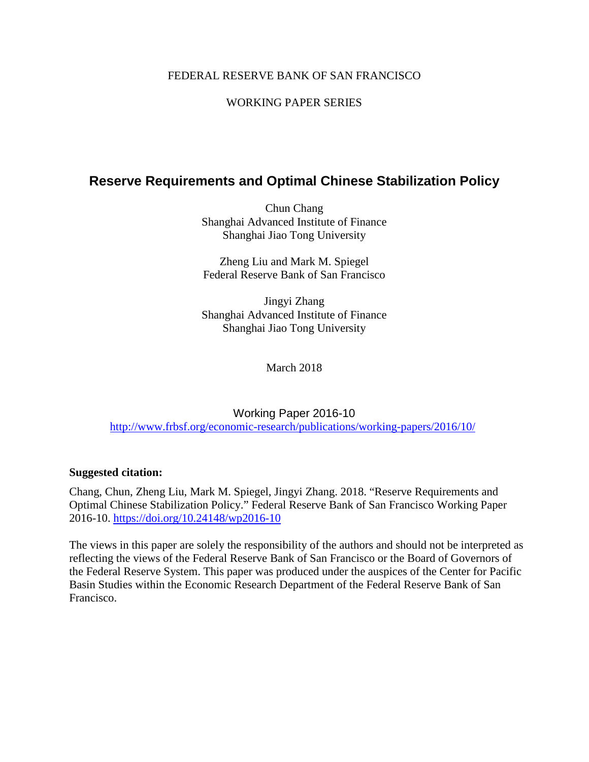## FEDERAL RESERVE BANK OF SAN FRANCISCO

# WORKING PAPER SERIES

# **Reserve Requirements and Optimal Chinese Stabilization Policy**

Chun Chang Shanghai Advanced Institute of Finance Shanghai Jiao Tong University

Zheng Liu and Mark M. Spiegel Federal Reserve Bank of San Francisco

Jingyi Zhang Shanghai Advanced Institute of Finance Shanghai Jiao Tong University

March 2018

Working Paper 2016-10 <http://www.frbsf.org/economic-research/publications/working-papers/2016/10/>

### **Suggested citation:**

Chang, Chun, Zheng Liu, Mark M. Spiegel, Jingyi Zhang. 2018. "Reserve Requirements and Optimal Chinese Stabilization Policy." Federal Reserve Bank of San Francisco Working Paper 2016-10.<https://doi.org/10.24148/wp2016-10>

The views in this paper are solely the responsibility of the authors and should not be interpreted as reflecting the views of the Federal Reserve Bank of San Francisco or the Board of Governors of the Federal Reserve System. This paper was produced under the auspices of the Center for Pacific Basin Studies within the Economic Research Department of the Federal Reserve Bank of San Francisco.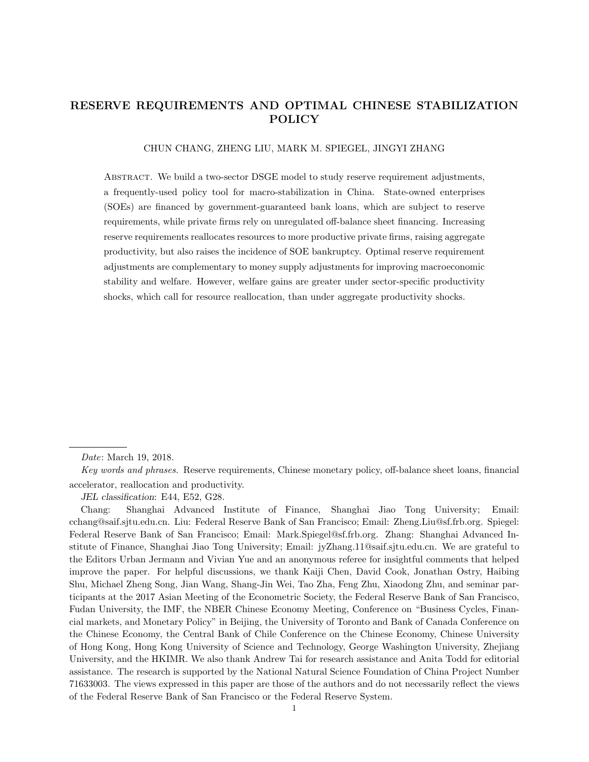## RESERVE REQUIREMENTS AND OPTIMAL CHINESE STABILIZATION POLICY

#### CHUN CHANG, ZHENG LIU, MARK M. SPIEGEL, JINGYI ZHANG

ABSTRACT. We build a two-sector DSGE model to study reserve requirement adjustments, a frequently-used policy tool for macro-stabilization in China. State-owned enterprises (SOEs) are financed by government-guaranteed bank loans, which are subject to reserve requirements, while private firms rely on unregulated off-balance sheet financing. Increasing reserve requirements reallocates resources to more productive private firms, raising aggregate productivity, but also raises the incidence of SOE bankruptcy. Optimal reserve requirement adjustments are complementary to money supply adjustments for improving macroeconomic stability and welfare. However, welfare gains are greater under sector-specific productivity shocks, which call for resource reallocation, than under aggregate productivity shocks.

Date: March 19, 2018.

Key words and phrases. Reserve requirements, Chinese monetary policy, off-balance sheet loans, financial accelerator, reallocation and productivity.

JEL classification: E44, E52, G28.

Chang: Shanghai Advanced Institute of Finance, Shanghai Jiao Tong University; Email: cchang@saif.sjtu.edu.cn. Liu: Federal Reserve Bank of San Francisco; Email: Zheng.Liu@sf.frb.org. Spiegel: Federal Reserve Bank of San Francisco; Email: Mark.Spiegel@sf.frb.org. Zhang: Shanghai Advanced Institute of Finance, Shanghai Jiao Tong University; Email: jyZhang.11@saif.sjtu.edu.cn. We are grateful to the Editors Urban Jermann and Vivian Yue and an anonymous referee for insightful comments that helped improve the paper. For helpful discussions, we thank Kaiji Chen, David Cook, Jonathan Ostry, Haibing Shu, Michael Zheng Song, Jian Wang, Shang-Jin Wei, Tao Zha, Feng Zhu, Xiaodong Zhu, and seminar participants at the 2017 Asian Meeting of the Econometric Society, the Federal Reserve Bank of San Francisco, Fudan University, the IMF, the NBER Chinese Economy Meeting, Conference on "Business Cycles, Financial markets, and Monetary Policy" in Beijing, the University of Toronto and Bank of Canada Conference on the Chinese Economy, the Central Bank of Chile Conference on the Chinese Economy, Chinese University of Hong Kong, Hong Kong University of Science and Technology, George Washington University, Zhejiang University, and the HKIMR. We also thank Andrew Tai for research assistance and Anita Todd for editorial assistance. The research is supported by the National Natural Science Foundation of China Project Number 71633003. The views expressed in this paper are those of the authors and do not necessarily reflect the views of the Federal Reserve Bank of San Francisco or the Federal Reserve System.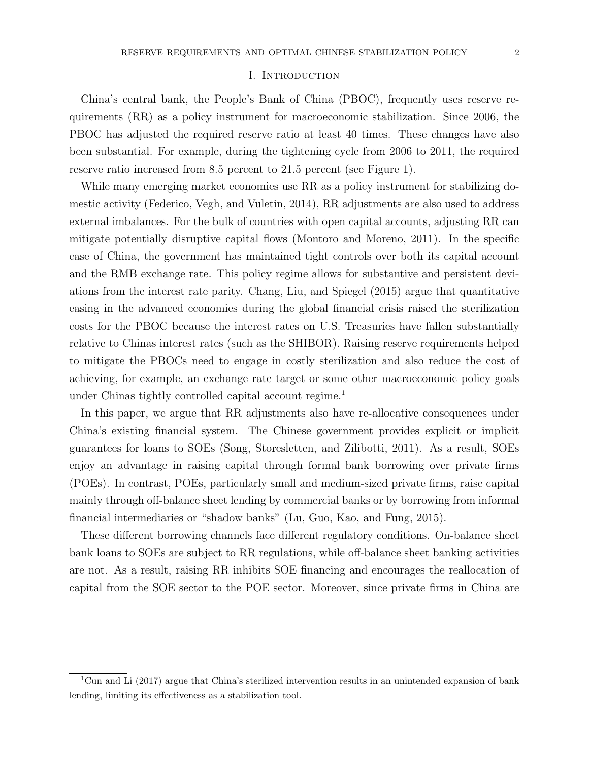#### I. INTRODUCTION

China's central bank, the People's Bank of China (PBOC), frequently uses reserve requirements (RR) as a policy instrument for macroeconomic stabilization. Since 2006, the PBOC has adjusted the required reserve ratio at least 40 times. These changes have also been substantial. For example, during the tightening cycle from 2006 to 2011, the required reserve ratio increased from 8.5 percent to 21.5 percent (see Figure 1).

While many emerging market economies use RR as a policy instrument for stabilizing domestic activity (Federico, Vegh, and Vuletin, 2014), RR adjustments are also used to address external imbalances. For the bulk of countries with open capital accounts, adjusting RR can mitigate potentially disruptive capital flows (Montoro and Moreno, 2011). In the specific case of China, the government has maintained tight controls over both its capital account and the RMB exchange rate. This policy regime allows for substantive and persistent deviations from the interest rate parity. Chang, Liu, and Spiegel (2015) argue that quantitative easing in the advanced economies during the global financial crisis raised the sterilization costs for the PBOC because the interest rates on U.S. Treasuries have fallen substantially relative to Chinas interest rates (such as the SHIBOR). Raising reserve requirements helped to mitigate the PBOCs need to engage in costly sterilization and also reduce the cost of achieving, for example, an exchange rate target or some other macroeconomic policy goals under Chinas tightly controlled capital account regime.<sup>1</sup>

In this paper, we argue that RR adjustments also have re-allocative consequences under China's existing financial system. The Chinese government provides explicit or implicit guarantees for loans to SOEs (Song, Storesletten, and Zilibotti, 2011). As a result, SOEs enjoy an advantage in raising capital through formal bank borrowing over private firms (POEs). In contrast, POEs, particularly small and medium-sized private firms, raise capital mainly through off-balance sheet lending by commercial banks or by borrowing from informal financial intermediaries or "shadow banks" (Lu, Guo, Kao, and Fung, 2015).

These different borrowing channels face different regulatory conditions. On-balance sheet bank loans to SOEs are subject to RR regulations, while off-balance sheet banking activities are not. As a result, raising RR inhibits SOE financing and encourages the reallocation of capital from the SOE sector to the POE sector. Moreover, since private firms in China are

<sup>&</sup>lt;sup>1</sup>Cun and Li (2017) argue that China's sterilized intervention results in an unintended expansion of bank lending, limiting its effectiveness as a stabilization tool.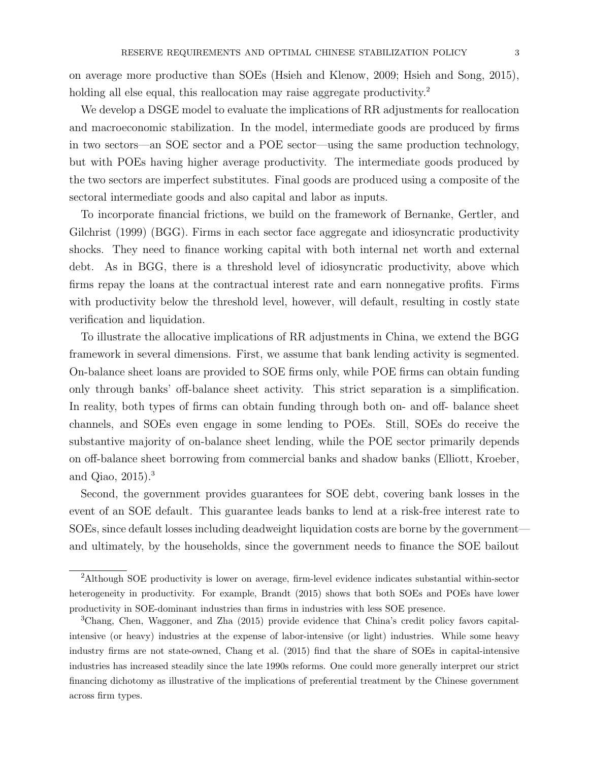on average more productive than SOEs (Hsieh and Klenow, 2009; Hsieh and Song, 2015), holding all else equal, this reallocation may raise aggregate productivity.<sup>2</sup>

We develop a DSGE model to evaluate the implications of RR adjustments for reallocation and macroeconomic stabilization. In the model, intermediate goods are produced by firms in two sectors—an SOE sector and a POE sector—using the same production technology, but with POEs having higher average productivity. The intermediate goods produced by the two sectors are imperfect substitutes. Final goods are produced using a composite of the sectoral intermediate goods and also capital and labor as inputs.

To incorporate financial frictions, we build on the framework of Bernanke, Gertler, and Gilchrist (1999) (BGG). Firms in each sector face aggregate and idiosyncratic productivity shocks. They need to finance working capital with both internal net worth and external debt. As in BGG, there is a threshold level of idiosyncratic productivity, above which firms repay the loans at the contractual interest rate and earn nonnegative profits. Firms with productivity below the threshold level, however, will default, resulting in costly state verification and liquidation.

To illustrate the allocative implications of RR adjustments in China, we extend the BGG framework in several dimensions. First, we assume that bank lending activity is segmented. On-balance sheet loans are provided to SOE firms only, while POE firms can obtain funding only through banks' off-balance sheet activity. This strict separation is a simplification. In reality, both types of firms can obtain funding through both on- and off- balance sheet channels, and SOEs even engage in some lending to POEs. Still, SOEs do receive the substantive majority of on-balance sheet lending, while the POE sector primarily depends on off-balance sheet borrowing from commercial banks and shadow banks (Elliott, Kroeber, and Qiao,  $2015$ ).<sup>3</sup>

Second, the government provides guarantees for SOE debt, covering bank losses in the event of an SOE default. This guarantee leads banks to lend at a risk-free interest rate to SOEs, since default losses including deadweight liquidation costs are borne by the government and ultimately, by the households, since the government needs to finance the SOE bailout

<sup>2</sup>Although SOE productivity is lower on average, firm-level evidence indicates substantial within-sector heterogeneity in productivity. For example, Brandt (2015) shows that both SOEs and POEs have lower productivity in SOE-dominant industries than firms in industries with less SOE presence.

<sup>3</sup>Chang, Chen, Waggoner, and Zha (2015) provide evidence that China's credit policy favors capitalintensive (or heavy) industries at the expense of labor-intensive (or light) industries. While some heavy industry firms are not state-owned, Chang et al. (2015) find that the share of SOEs in capital-intensive industries has increased steadily since the late 1990s reforms. One could more generally interpret our strict financing dichotomy as illustrative of the implications of preferential treatment by the Chinese government across firm types.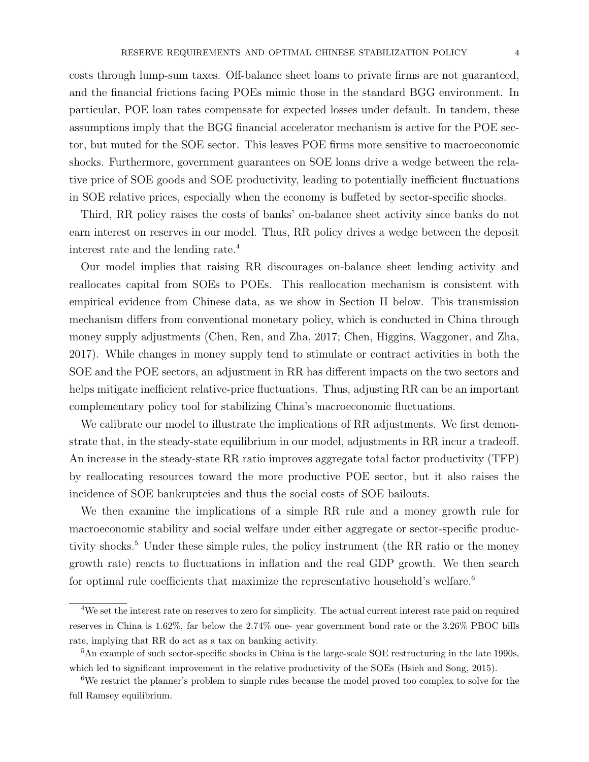costs through lump-sum taxes. Off-balance sheet loans to private firms are not guaranteed, and the financial frictions facing POEs mimic those in the standard BGG environment. In particular, POE loan rates compensate for expected losses under default. In tandem, these assumptions imply that the BGG financial accelerator mechanism is active for the POE sector, but muted for the SOE sector. This leaves POE firms more sensitive to macroeconomic shocks. Furthermore, government guarantees on SOE loans drive a wedge between the relative price of SOE goods and SOE productivity, leading to potentially inefficient fluctuations in SOE relative prices, especially when the economy is buffeted by sector-specific shocks.

Third, RR policy raises the costs of banks' on-balance sheet activity since banks do not earn interest on reserves in our model. Thus, RR policy drives a wedge between the deposit interest rate and the lending rate.<sup>4</sup>

Our model implies that raising RR discourages on-balance sheet lending activity and reallocates capital from SOEs to POEs. This reallocation mechanism is consistent with empirical evidence from Chinese data, as we show in Section II below. This transmission mechanism differs from conventional monetary policy, which is conducted in China through money supply adjustments (Chen, Ren, and Zha, 2017; Chen, Higgins, Waggoner, and Zha, 2017). While changes in money supply tend to stimulate or contract activities in both the SOE and the POE sectors, an adjustment in RR has different impacts on the two sectors and helps mitigate inefficient relative-price fluctuations. Thus, adjusting RR can be an important complementary policy tool for stabilizing China's macroeconomic fluctuations.

We calibrate our model to illustrate the implications of RR adjustments. We first demonstrate that, in the steady-state equilibrium in our model, adjustments in RR incur a tradeoff. An increase in the steady-state RR ratio improves aggregate total factor productivity (TFP) by reallocating resources toward the more productive POE sector, but it also raises the incidence of SOE bankruptcies and thus the social costs of SOE bailouts.

We then examine the implications of a simple RR rule and a money growth rule for macroeconomic stability and social welfare under either aggregate or sector-specific productivity shocks.<sup>5</sup> Under these simple rules, the policy instrument (the RR ratio or the money growth rate) reacts to fluctuations in inflation and the real GDP growth. We then search for optimal rule coefficients that maximize the representative household's welfare.<sup>6</sup>

<sup>&</sup>lt;sup>4</sup>We set the interest rate on reserves to zero for simplicity. The actual current interest rate paid on required reserves in China is 1.62%, far below the 2.74% one- year government bond rate or the 3.26% PBOC bills rate, implying that RR do act as a tax on banking activity.

<sup>&</sup>lt;sup>5</sup>An example of such sector-specific shocks in China is the large-scale SOE restructuring in the late 1990s, which led to significant improvement in the relative productivity of the SOEs (Hsieh and Song, 2015).

<sup>&</sup>lt;sup>6</sup>We restrict the planner's problem to simple rules because the model proved too complex to solve for the full Ramsey equilibrium.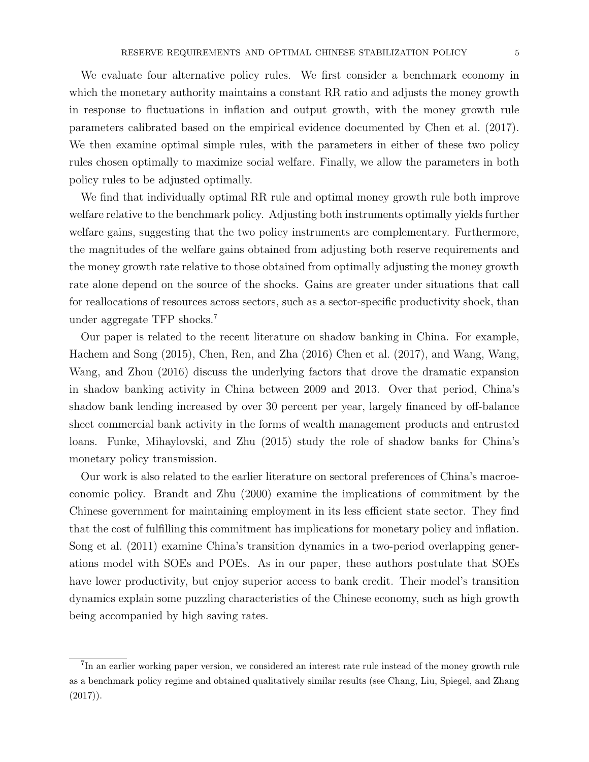We evaluate four alternative policy rules. We first consider a benchmark economy in which the monetary authority maintains a constant RR ratio and adjusts the money growth in response to fluctuations in inflation and output growth, with the money growth rule parameters calibrated based on the empirical evidence documented by Chen et al. (2017). We then examine optimal simple rules, with the parameters in either of these two policy rules chosen optimally to maximize social welfare. Finally, we allow the parameters in both policy rules to be adjusted optimally.

We find that individually optimal RR rule and optimal money growth rule both improve welfare relative to the benchmark policy. Adjusting both instruments optimally yields further welfare gains, suggesting that the two policy instruments are complementary. Furthermore, the magnitudes of the welfare gains obtained from adjusting both reserve requirements and the money growth rate relative to those obtained from optimally adjusting the money growth rate alone depend on the source of the shocks. Gains are greater under situations that call for reallocations of resources across sectors, such as a sector-specific productivity shock, than under aggregate TFP shocks.<sup>7</sup>

Our paper is related to the recent literature on shadow banking in China. For example, Hachem and Song (2015), Chen, Ren, and Zha (2016) Chen et al. (2017), and Wang, Wang, Wang, and Zhou (2016) discuss the underlying factors that drove the dramatic expansion in shadow banking activity in China between 2009 and 2013. Over that period, China's shadow bank lending increased by over 30 percent per year, largely financed by off-balance sheet commercial bank activity in the forms of wealth management products and entrusted loans. Funke, Mihaylovski, and Zhu (2015) study the role of shadow banks for China's monetary policy transmission.

Our work is also related to the earlier literature on sectoral preferences of China's macroeconomic policy. Brandt and Zhu (2000) examine the implications of commitment by the Chinese government for maintaining employment in its less efficient state sector. They find that the cost of fulfilling this commitment has implications for monetary policy and inflation. Song et al. (2011) examine China's transition dynamics in a two-period overlapping generations model with SOEs and POEs. As in our paper, these authors postulate that SOEs have lower productivity, but enjoy superior access to bank credit. Their model's transition dynamics explain some puzzling characteristics of the Chinese economy, such as high growth being accompanied by high saving rates.

<sup>&</sup>lt;sup>7</sup>In an earlier working paper version, we considered an interest rate rule instead of the money growth rule as a benchmark policy regime and obtained qualitatively similar results (see Chang, Liu, Spiegel, and Zhang  $(2017)$ .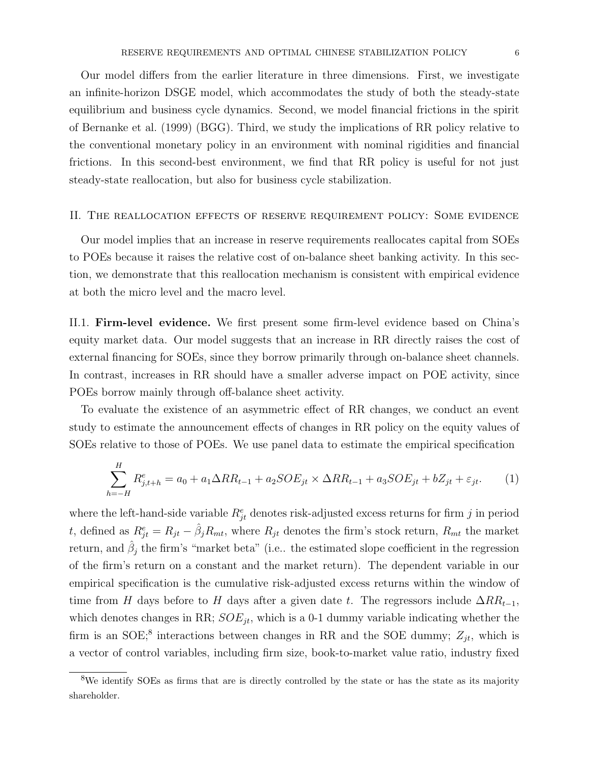Our model differs from the earlier literature in three dimensions. First, we investigate an infinite-horizon DSGE model, which accommodates the study of both the steady-state equilibrium and business cycle dynamics. Second, we model financial frictions in the spirit of Bernanke et al. (1999) (BGG). Third, we study the implications of RR policy relative to the conventional monetary policy in an environment with nominal rigidities and financial frictions. In this second-best environment, we find that RR policy is useful for not just steady-state reallocation, but also for business cycle stabilization.

#### II. The reallocation effects of reserve requirement policy: Some evidence

Our model implies that an increase in reserve requirements reallocates capital from SOEs to POEs because it raises the relative cost of on-balance sheet banking activity. In this section, we demonstrate that this reallocation mechanism is consistent with empirical evidence at both the micro level and the macro level.

II.1. Firm-level evidence. We first present some firm-level evidence based on China's equity market data. Our model suggests that an increase in RR directly raises the cost of external financing for SOEs, since they borrow primarily through on-balance sheet channels. In contrast, increases in RR should have a smaller adverse impact on POE activity, since POEs borrow mainly through off-balance sheet activity.

To evaluate the existence of an asymmetric effect of RR changes, we conduct an event study to estimate the announcement effects of changes in RR policy on the equity values of SOEs relative to those of POEs. We use panel data to estimate the empirical specification

$$
\sum_{h=-H}^{H} R_{j,t+h}^{e} = a_0 + a_1 \Delta RR_{t-1} + a_2 SOE_{jt} \times \Delta RR_{t-1} + a_3 SOE_{jt} + bZ_{jt} + \varepsilon_{jt}.
$$
 (1)

where the left-hand-side variable  $R_{jt}^e$  denotes risk-adjusted excess returns for firm j in period t, defined as  $R_{jt}^e = R_{jt} - \hat{\beta}_j R_{mt}$ , where  $R_{jt}$  denotes the firm's stock return,  $R_{mt}$  the market return, and  $\hat{\beta}_j$  the firm's "market beta" (i.e.. the estimated slope coefficient in the regression of the firm's return on a constant and the market return). The dependent variable in our empirical specification is the cumulative risk-adjusted excess returns within the window of time from H days before to H days after a given date t. The regressors include  $\Delta RR_{t-1}$ , which denotes changes in RR;  $SOE_{jt}$ , which is a 0-1 dummy variable indicating whether the firm is an SOE;<sup>8</sup> interactions between changes in RR and the SOE dummy;  $Z_{jt}$ , which is a vector of control variables, including firm size, book-to-market value ratio, industry fixed

<sup>8</sup>We identify SOEs as firms that are is directly controlled by the state or has the state as its majority shareholder.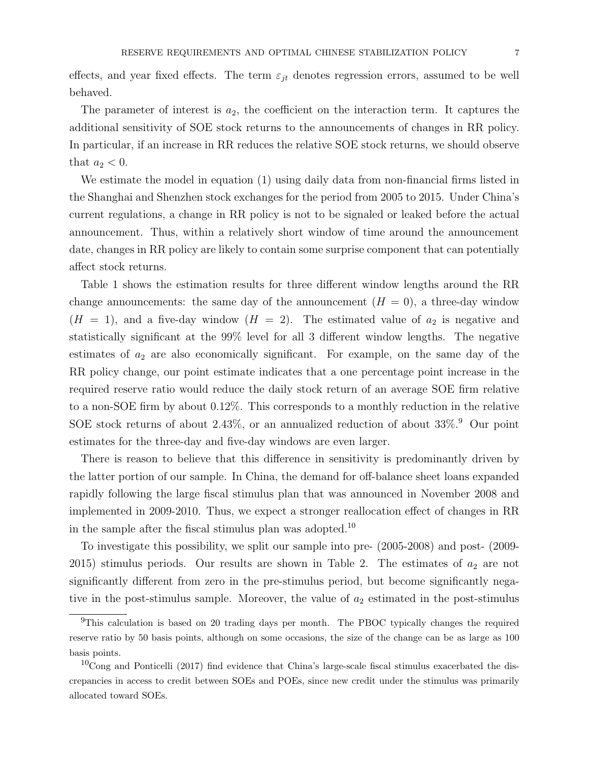effects, and year fixed effects. The term  $\varepsilon_{jt}$  denotes regression errors, assumed to be well behaved.

The parameter of interest is  $a_2$ , the coefficient on the interaction term. It captures the additional sensitivity of SOE stock returns to the announcements of changes in RR policy. In particular, if an increase in RR reduces the relative SOE stock returns, we should observe that  $a_2 < 0$ .

We estimate the model in equation (1) using daily data from non-financial firms listed in the Shanghai and Shenzhen stock exchanges for the period from 2005 to 2015. Under China's current regulations, a change in RR policy is not to be signaled or leaked before the actual announcement. Thus, within a relatively short window of time around the announcement date, changes in RR policy are likely to contain some surprise component that can potentially affect stock returns.

Table 1 shows the estimation results for three different window lengths around the RR change announcements: the same day of the announcement  $(H = 0)$ , a three-day window  $(H = 1)$ , and a five-day window  $(H = 2)$ . The estimated value of  $a_2$  is negative and statistically significant at the 99% level for all 3 different window lengths. The negative estimates of  $a_2$  are also economically significant. For example, on the same day of the RR policy change, our point estimate indicates that a one percentage point increase in the required reserve ratio would reduce the daily stock return of an average SOE firm relative to a non-SOE firm by about 0.12%. This corresponds to a monthly reduction in the relative SOE stock returns of about 2.43%, or an annualized reduction of about  $33\%$ <sup>9</sup>. Our point estimates for the three-day and five-day windows are even larger.

There is reason to believe that this difference in sensitivity is predominantly driven by the latter portion of our sample. In China, the demand for off-balance sheet loans expanded rapidly following the large fiscal stimulus plan that was announced in November 2008 and implemented in 2009-2010. Thus, we expect a stronger reallocation effect of changes in RR in the sample after the fiscal stimulus plan was adopted.<sup>10</sup>

To investigate this possibility, we split our sample into pre- (2005-2008) and post- (2009- 2015) stimulus periods. Our results are shown in Table 2. The estimates of  $a_2$  are not significantly different from zero in the pre-stimulus period, but become significantly negative in the post-stimulus sample. Moreover, the value of  $a_2$  estimated in the post-stimulus

<sup>&</sup>lt;sup>9</sup>This calculation is based on 20 trading days per month. The PBOC typically changes the required reserve ratio by 50 basis points, although on some occasions, the size of the change can be as large as 100 basis points.

 $10$ Cong and Ponticelli (2017) find evidence that China's large-scale fiscal stimulus exacerbated the discrepancies in access to credit between SOEs and POEs, since new credit under the stimulus was primarily allocated toward SOEs.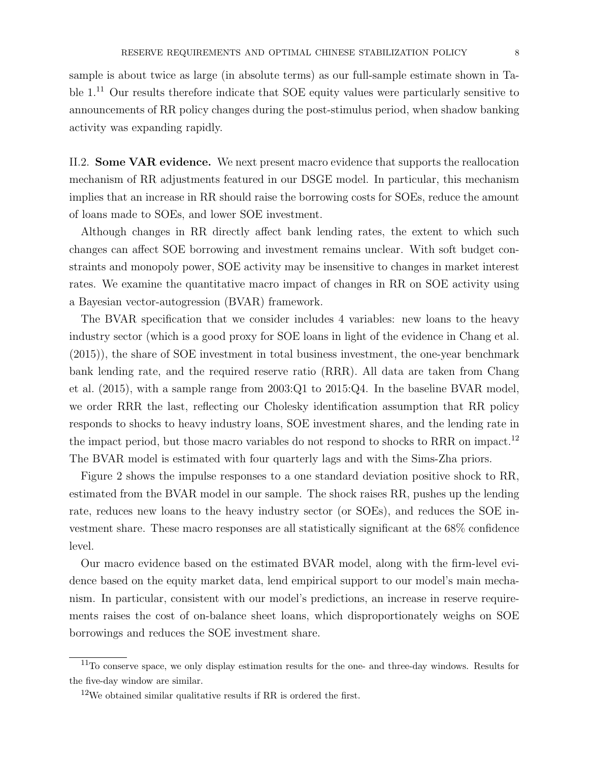sample is about twice as large (in absolute terms) as our full-sample estimate shown in Table 1.<sup>11</sup> Our results therefore indicate that SOE equity values were particularly sensitive to announcements of RR policy changes during the post-stimulus period, when shadow banking activity was expanding rapidly.

II.2. Some VAR evidence. We next present macro evidence that supports the reallocation mechanism of RR adjustments featured in our DSGE model. In particular, this mechanism implies that an increase in RR should raise the borrowing costs for SOEs, reduce the amount of loans made to SOEs, and lower SOE investment.

Although changes in RR directly affect bank lending rates, the extent to which such changes can affect SOE borrowing and investment remains unclear. With soft budget constraints and monopoly power, SOE activity may be insensitive to changes in market interest rates. We examine the quantitative macro impact of changes in RR on SOE activity using a Bayesian vector-autogression (BVAR) framework.

The BVAR specification that we consider includes 4 variables: new loans to the heavy industry sector (which is a good proxy for SOE loans in light of the evidence in Chang et al. (2015)), the share of SOE investment in total business investment, the one-year benchmark bank lending rate, and the required reserve ratio (RRR). All data are taken from Chang et al. (2015), with a sample range from 2003:Q1 to 2015:Q4. In the baseline BVAR model, we order RRR the last, reflecting our Cholesky identification assumption that RR policy responds to shocks to heavy industry loans, SOE investment shares, and the lending rate in the impact period, but those macro variables do not respond to shocks to RRR on impact.<sup>12</sup> The BVAR model is estimated with four quarterly lags and with the Sims-Zha priors.

Figure 2 shows the impulse responses to a one standard deviation positive shock to RR, estimated from the BVAR model in our sample. The shock raises RR, pushes up the lending rate, reduces new loans to the heavy industry sector (or SOEs), and reduces the SOE investment share. These macro responses are all statistically significant at the 68% confidence level.

Our macro evidence based on the estimated BVAR model, along with the firm-level evidence based on the equity market data, lend empirical support to our model's main mechanism. In particular, consistent with our model's predictions, an increase in reserve requirements raises the cost of on-balance sheet loans, which disproportionately weighs on SOE borrowings and reduces the SOE investment share.

<sup>11</sup>To conserve space, we only display estimation results for the one- and three-day windows. Results for the five-day window are similar.

 $12$ We obtained similar qualitative results if RR is ordered the first.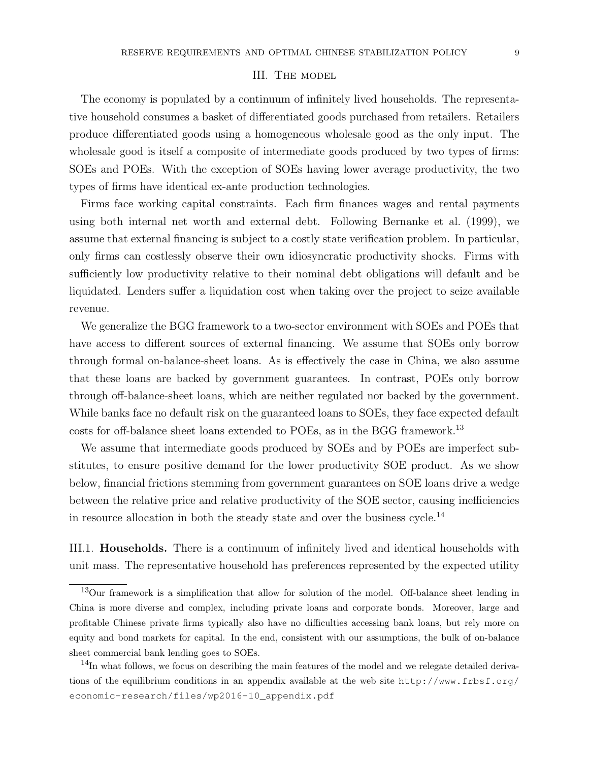#### III. The model

The economy is populated by a continuum of infinitely lived households. The representative household consumes a basket of differentiated goods purchased from retailers. Retailers produce differentiated goods using a homogeneous wholesale good as the only input. The wholesale good is itself a composite of intermediate goods produced by two types of firms: SOEs and POEs. With the exception of SOEs having lower average productivity, the two types of firms have identical ex-ante production technologies.

Firms face working capital constraints. Each firm finances wages and rental payments using both internal net worth and external debt. Following Bernanke et al. (1999), we assume that external financing is subject to a costly state verification problem. In particular, only firms can costlessly observe their own idiosyncratic productivity shocks. Firms with sufficiently low productivity relative to their nominal debt obligations will default and be liquidated. Lenders suffer a liquidation cost when taking over the project to seize available revenue.

We generalize the BGG framework to a two-sector environment with SOEs and POEs that have access to different sources of external financing. We assume that SOEs only borrow through formal on-balance-sheet loans. As is effectively the case in China, we also assume that these loans are backed by government guarantees. In contrast, POEs only borrow through off-balance-sheet loans, which are neither regulated nor backed by the government. While banks face no default risk on the guaranteed loans to SOEs, they face expected default costs for off-balance sheet loans extended to POEs, as in the BGG framework.<sup>13</sup>

We assume that intermediate goods produced by SOEs and by POEs are imperfect substitutes, to ensure positive demand for the lower productivity SOE product. As we show below, financial frictions stemming from government guarantees on SOE loans drive a wedge between the relative price and relative productivity of the SOE sector, causing inefficiencies in resource allocation in both the steady state and over the business cycle.<sup>14</sup>

III.1. Households. There is a continuum of infinitely lived and identical households with unit mass. The representative household has preferences represented by the expected utility

<sup>13</sup>Our framework is a simplification that allow for solution of the model. Off-balance sheet lending in China is more diverse and complex, including private loans and corporate bonds. Moreover, large and profitable Chinese private firms typically also have no difficulties accessing bank loans, but rely more on equity and bond markets for capital. In the end, consistent with our assumptions, the bulk of on-balance sheet commercial bank lending goes to SOEs.

 $14$ In what follows, we focus on describing the main features of the model and we relegate detailed derivations of the equilibrium conditions in an appendix available at the web site http://www.frbsf.org/ economic-research/files/wp2016-10\_appendix.pdf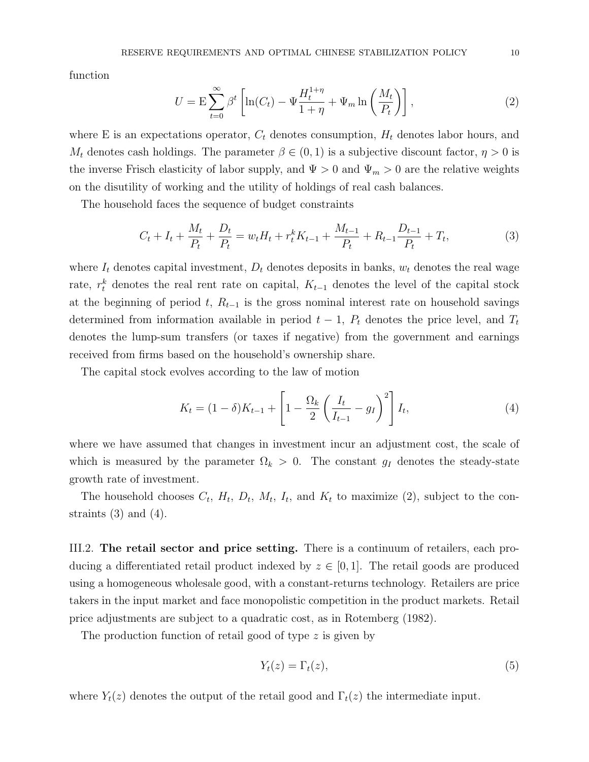function

$$
U = \mathcal{E} \sum_{t=0}^{\infty} \beta^t \left[ \ln(C_t) - \Psi \frac{H_t^{1+\eta}}{1+\eta} + \Psi_m \ln \left( \frac{M_t}{P_t} \right) \right],\tag{2}
$$

where E is an expectations operator,  $C_t$  denotes consumption,  $H_t$  denotes labor hours, and  $M_t$  denotes cash holdings. The parameter  $\beta \in (0,1)$  is a subjective discount factor,  $\eta > 0$  is the inverse Frisch elasticity of labor supply, and  $\Psi > 0$  and  $\Psi_m > 0$  are the relative weights on the disutility of working and the utility of holdings of real cash balances.

The household faces the sequence of budget constraints

$$
C_t + I_t + \frac{M_t}{P_t} + \frac{D_t}{P_t} = w_t H_t + r_t^k K_{t-1} + \frac{M_{t-1}}{P_t} + R_{t-1} \frac{D_{t-1}}{P_t} + T_t,
$$
\n(3)

where  $I_t$  denotes capital investment,  $D_t$  denotes deposits in banks,  $w_t$  denotes the real wage rate,  $r_t^k$  denotes the real rent rate on capital,  $K_{t-1}$  denotes the level of the capital stock at the beginning of period t,  $R_{t-1}$  is the gross nominal interest rate on household savings determined from information available in period  $t - 1$ ,  $P_t$  denotes the price level, and  $T_t$ denotes the lump-sum transfers (or taxes if negative) from the government and earnings received from firms based on the household's ownership share.

The capital stock evolves according to the law of motion

$$
K_t = (1 - \delta)K_{t-1} + \left[1 - \frac{\Omega_k}{2} \left(\frac{I_t}{I_{t-1}} - g_I\right)^2\right] I_t,
$$
\n(4)

where we have assumed that changes in investment incur an adjustment cost, the scale of which is measured by the parameter  $\Omega_k > 0$ . The constant  $g_I$  denotes the steady-state growth rate of investment.

The household chooses  $C_t$ ,  $H_t$ ,  $D_t$ ,  $M_t$ ,  $I_t$ , and  $K_t$  to maximize (2), subject to the constraints  $(3)$  and  $(4)$ .

III.2. The retail sector and price setting. There is a continuum of retailers, each producing a differentiated retail product indexed by  $z \in [0,1]$ . The retail goods are produced using a homogeneous wholesale good, with a constant-returns technology. Retailers are price takers in the input market and face monopolistic competition in the product markets. Retail price adjustments are subject to a quadratic cost, as in Rotemberg (1982).

The production function of retail good of type z is given by

$$
Y_t(z) = \Gamma_t(z),\tag{5}
$$

where  $Y_t(z)$  denotes the output of the retail good and  $\Gamma_t(z)$  the intermediate input.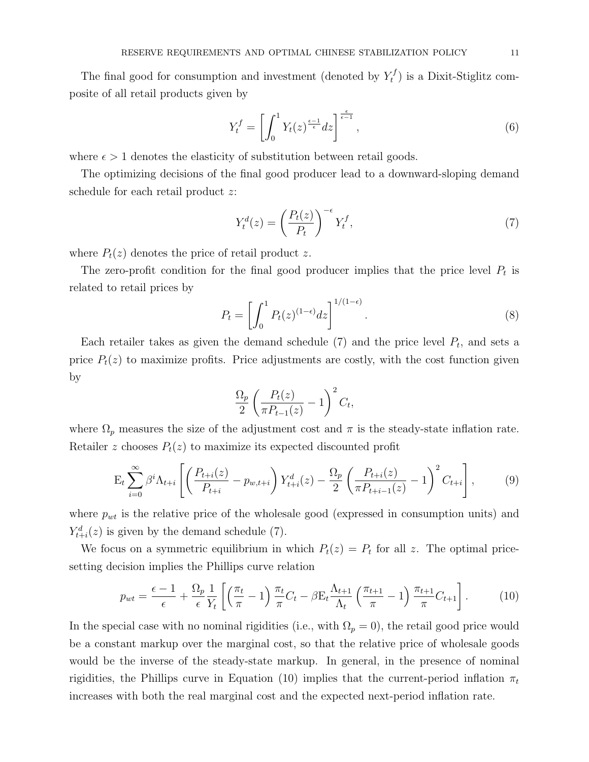The final good for consumption and investment (denoted by  $Y_t^f$  $(t<sub>t</sub><sup>t</sup>)$  is a Dixit-Stiglitz composite of all retail products given by

$$
Y_t^f = \left[ \int_0^1 Y_t(z)^{\frac{\epsilon - 1}{\epsilon}} dz \right]^{\frac{\epsilon}{\epsilon - 1}},\tag{6}
$$

where  $\epsilon > 1$  denotes the elasticity of substitution between retail goods.

The optimizing decisions of the final good producer lead to a downward-sloping demand schedule for each retail product z:

$$
Y_t^d(z) = \left(\frac{P_t(z)}{P_t}\right)^{-\epsilon} Y_t^f,\tag{7}
$$

where  $P_t(z)$  denotes the price of retail product z.

The zero-profit condition for the final good producer implies that the price level  $P_t$  is related to retail prices by

$$
P_t = \left[ \int_0^1 P_t(z)^{(1-\epsilon)} dz \right]^{1/(1-\epsilon)}.
$$
\n
$$
(8)
$$

Each retailer takes as given the demand schedule  $(7)$  and the price level  $P_t$ , and sets a price  $P_t(z)$  to maximize profits. Price adjustments are costly, with the cost function given by

$$
\frac{\Omega_p}{2} \left( \frac{P_t(z)}{\pi P_{t-1}(z)} - 1 \right)^2 C_t,
$$

where  $\Omega_p$  measures the size of the adjustment cost and  $\pi$  is the steady-state inflation rate. Retailer z chooses  $P_t(z)$  to maximize its expected discounted profit

$$
E_t \sum_{i=0}^{\infty} \beta^i \Lambda_{t+i} \left[ \left( \frac{P_{t+i}(z)}{P_{t+i}} - p_{w,t+i} \right) Y_{t+i}^d(z) - \frac{\Omega_p}{2} \left( \frac{P_{t+i}(z)}{\pi P_{t+i-1}(z)} - 1 \right)^2 C_{t+i} \right],
$$
 (9)

where  $p_{wt}$  is the relative price of the wholesale good (expressed in consumption units) and  $Y_{t+i}^d(z)$  is given by the demand schedule (7).

We focus on a symmetric equilibrium in which  $P_t(z) = P_t$  for all z. The optimal pricesetting decision implies the Phillips curve relation

$$
p_{wt} = \frac{\epsilon - 1}{\epsilon} + \frac{\Omega_p}{\epsilon} \frac{1}{Y_t} \left[ \left( \frac{\pi_t}{\pi} - 1 \right) \frac{\pi_t}{\pi} C_t - \beta E_t \frac{\Lambda_{t+1}}{\Lambda_t} \left( \frac{\pi_{t+1}}{\pi} - 1 \right) \frac{\pi_{t+1}}{\pi} C_{t+1} \right]. \tag{10}
$$

In the special case with no nominal rigidities (i.e., with  $\Omega_p = 0$ ), the retail good price would be a constant markup over the marginal cost, so that the relative price of wholesale goods would be the inverse of the steady-state markup. In general, in the presence of nominal rigidities, the Phillips curve in Equation (10) implies that the current-period inflation  $\pi_t$ increases with both the real marginal cost and the expected next-period inflation rate.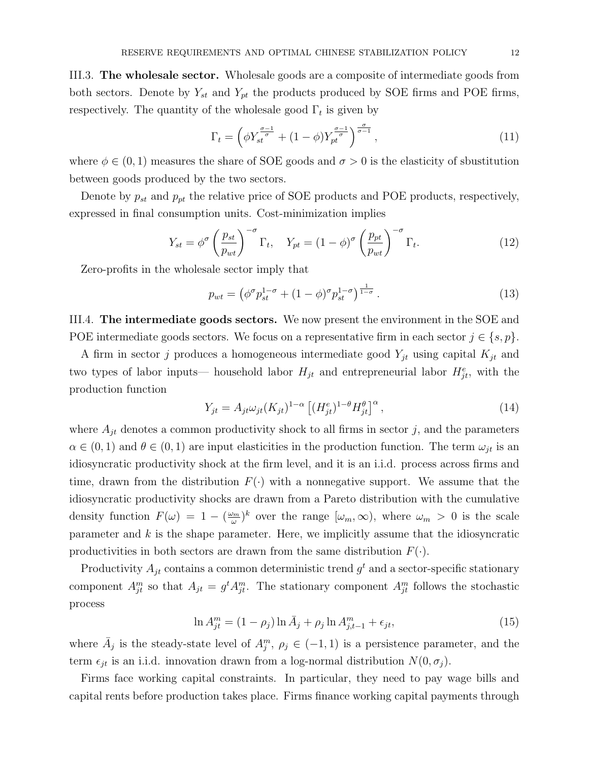III.3. The wholesale sector. Wholesale goods are a composite of intermediate goods from both sectors. Denote by  $Y_{st}$  and  $Y_{pt}$  the products produced by SOE firms and POE firms, respectively. The quantity of the wholesale good  $\Gamma_t$  is given by

$$
\Gamma_t = \left(\phi Y_{st}^{\frac{\sigma-1}{\sigma}} + (1-\phi) Y_{pt}^{\frac{\sigma-1}{\sigma}}\right)^{\frac{\sigma}{\sigma-1}},\tag{11}
$$

where  $\phi \in (0, 1)$  measures the share of SOE goods and  $\sigma > 0$  is the elasticity of sbustitution between goods produced by the two sectors.

Denote by  $p_{st}$  and  $p_{pt}$  the relative price of SOE products and POE products, respectively, expressed in final consumption units. Cost-minimization implies

$$
Y_{st} = \phi^{\sigma} \left(\frac{p_{st}}{p_{wt}}\right)^{-\sigma} \Gamma_t, \quad Y_{pt} = (1 - \phi)^{\sigma} \left(\frac{p_{pt}}{p_{wt}}\right)^{-\sigma} \Gamma_t.
$$
 (12)

Zero-profits in the wholesale sector imply that

$$
p_{wt} = \left(\phi^{\sigma} p_{st}^{1-\sigma} + (1-\phi)^{\sigma} p_{st}^{1-\sigma}\right)^{\frac{1}{1-\sigma}}.
$$
\n(13)

III.4. The intermediate goods sectors. We now present the environment in the SOE and POE intermediate goods sectors. We focus on a representative firm in each sector  $j \in \{s, p\}$ .

A firm in sector j produces a homogeneous intermediate good  $Y_{jt}$  using capital  $K_{jt}$  and two types of labor inputs— household labor  $H_{jt}$  and entrepreneurial labor  $H_{jt}^e$ , with the production function

$$
Y_{jt} = A_{jt}\omega_{jt}(K_{jt})^{1-\alpha} \left[ (H_{jt}^e)^{1-\theta} H_{jt}^\theta \right]^\alpha, \qquad (14)
$$

where  $A_{it}$  denotes a common productivity shock to all firms in sector j, and the parameters  $\alpha \in (0,1)$  and  $\theta \in (0,1)$  are input elasticities in the production function. The term  $\omega_{jt}$  is an idiosyncratic productivity shock at the firm level, and it is an i.i.d. process across firms and time, drawn from the distribution  $F(\cdot)$  with a nonnegative support. We assume that the idiosyncratic productivity shocks are drawn from a Pareto distribution with the cumulative density function  $F(\omega) = 1 - (\frac{\omega_m}{\omega})$  $(\omega_m)^k$  over the range  $[\omega_m,\infty)$ , where  $\omega_m > 0$  is the scale parameter and  $k$  is the shape parameter. Here, we implicitly assume that the idiosyncratic productivities in both sectors are drawn from the same distribution  $F(\cdot)$ .

Productivity  $A_{jt}$  contains a common deterministic trend  $g^t$  and a sector-specific stationary component  $A_{jt}^m$  so that  $A_{jt} = g^t A_{jt}^m$ . The stationary component  $A_{jt}^m$  follows the stochastic process

$$
\ln A_{jt}^m = (1 - \rho_j) \ln \bar{A}_j + \rho_j \ln A_{j,t-1}^m + \epsilon_{jt},
$$
\n(15)

where  $\bar{A}_j$  is the steady-state level of  $A_j^m$ ,  $\rho_j \in (-1,1)$  is a persistence parameter, and the term  $\epsilon_{jt}$  is an i.i.d. innovation drawn from a log-normal distribution  $N(0, \sigma_j)$ .

Firms face working capital constraints. In particular, they need to pay wage bills and capital rents before production takes place. Firms finance working capital payments through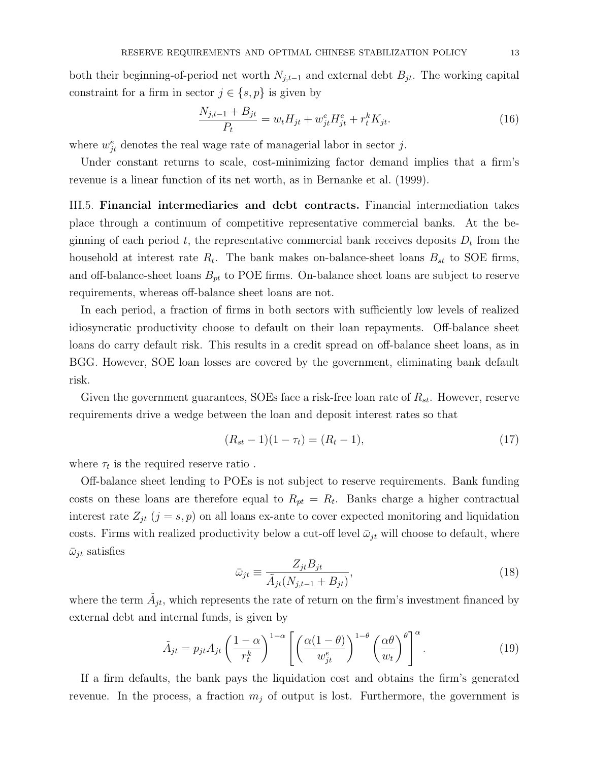both their beginning-of-period net worth  $N_{j,t-1}$  and external debt  $B_{jt}$ . The working capital constraint for a firm in sector  $j \in \{s, p\}$  is given by

$$
\frac{N_{j,t-1} + B_{jt}}{P_t} = w_t H_{jt} + w_{jt}^e H_{jt}^e + r_t^k K_{jt}.
$$
\n(16)

where  $w_{jt}^e$  denotes the real wage rate of managerial labor in sector j.

Under constant returns to scale, cost-minimizing factor demand implies that a firm's revenue is a linear function of its net worth, as in Bernanke et al. (1999).

III.5. Financial intermediaries and debt contracts. Financial intermediation takes place through a continuum of competitive representative commercial banks. At the beginning of each period  $t$ , the representative commercial bank receives deposits  $D_t$  from the household at interest rate  $R_t$ . The bank makes on-balance-sheet loans  $B_{st}$  to SOE firms, and off-balance-sheet loans  $B_{pt}$  to POE firms. On-balance sheet loans are subject to reserve requirements, whereas off-balance sheet loans are not.

In each period, a fraction of firms in both sectors with sufficiently low levels of realized idiosyncratic productivity choose to default on their loan repayments. Off-balance sheet loans do carry default risk. This results in a credit spread on off-balance sheet loans, as in BGG. However, SOE loan losses are covered by the government, eliminating bank default risk.

Given the government guarantees, SOEs face a risk-free loan rate of  $R_{st}$ . However, reserve requirements drive a wedge between the loan and deposit interest rates so that

$$
(R_{st} - 1)(1 - \tau_t) = (R_t - 1),\tag{17}
$$

where  $\tau_t$  is the required reserve ratio .

Off-balance sheet lending to POEs is not subject to reserve requirements. Bank funding costs on these loans are therefore equal to  $R_{pt} = R_t$ . Banks charge a higher contractual interest rate  $Z_{it}$  (j = s, p) on all loans ex-ante to cover expected monitoring and liquidation costs. Firms with realized productivity below a cut-off level  $\bar{\omega}_{it}$  will choose to default, where  $\bar{\omega}_{it}$  satisfies

$$
\bar{\omega}_{jt} \equiv \frac{Z_{jt} B_{jt}}{\tilde{A}_{jt}(N_{j,t-1} + B_{jt})},\tag{18}
$$

where the term  $\tilde{A}_{jt}$ , which represents the rate of return on the firm's investment financed by external debt and internal funds, is given by

$$
\tilde{A}_{jt} = p_{jt} A_{jt} \left(\frac{1-\alpha}{r_t^k}\right)^{1-\alpha} \left[ \left(\frac{\alpha(1-\theta)}{w_{jt}^e}\right)^{1-\theta} \left(\frac{\alpha\theta}{w_t}\right)^{\theta} \right]^{\alpha}.
$$
\n(19)

If a firm defaults, the bank pays the liquidation cost and obtains the firm's generated revenue. In the process, a fraction  $m_j$  of output is lost. Furthermore, the government is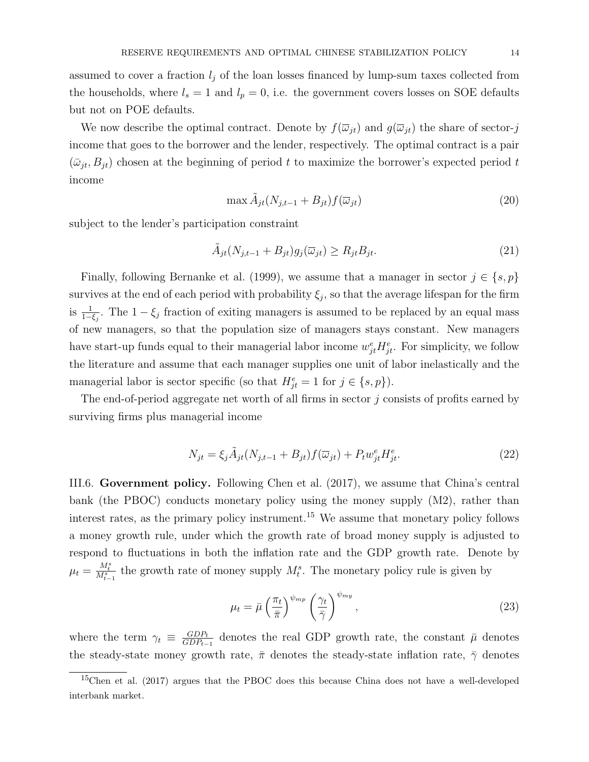assumed to cover a fraction  $l_i$  of the loan losses financed by lump-sum taxes collected from the households, where  $l_s = 1$  and  $l_p = 0$ , i.e. the government covers losses on SOE defaults but not on POE defaults.

We now describe the optimal contract. Denote by  $f(\overline{\omega}_{it})$  and  $g(\overline{\omega}_{it})$  the share of sector-j income that goes to the borrower and the lender, respectively. The optimal contract is a pair  $(\bar{\omega}_{jt}, B_{jt})$  chosen at the beginning of period t to maximize the borrower's expected period t income

$$
\max \tilde{A}_{jt}(N_{j,t-1} + B_{jt}) f(\overline{\omega}_{jt})
$$
\n(20)

subject to the lender's participation constraint

$$
\tilde{A}_{jt}(N_{j,t-1} + B_{jt})g_j(\overline{\omega}_{jt}) \ge R_{jt}B_{jt}.
$$
\n(21)

Finally, following Bernanke et al. (1999), we assume that a manager in sector  $j \in \{s, p\}$ survives at the end of each period with probability  $\xi_j$ , so that the average lifespan for the firm is  $\frac{1}{1-\xi_j}$ . The  $1-\xi_j$  fraction of exiting managers is assumed to be replaced by an equal mass of new managers, so that the population size of managers stays constant. New managers have start-up funds equal to their managerial labor income  $w_{jt}^e H_{jt}^e$ . For simplicity, we follow the literature and assume that each manager supplies one unit of labor inelastically and the managerial labor is sector specific (so that  $H_{jt}^e = 1$  for  $j \in \{s, p\}$ ).

The end-of-period aggregate net worth of all firms in sector j consists of profits earned by surviving firms plus managerial income

$$
N_{jt} = \xi_j \tilde{A}_{jt} (N_{j,t-1} + B_{jt}) f(\overline{\omega}_{jt}) + P_t w_{jt}^e H_{jt}^e.
$$
 (22)

III.6. Government policy. Following Chen et al. (2017), we assume that China's central bank (the PBOC) conducts monetary policy using the money supply (M2), rather than interest rates, as the primary policy instrument.<sup>15</sup> We assume that monetary policy follows a money growth rule, under which the growth rate of broad money supply is adjusted to respond to fluctuations in both the inflation rate and the GDP growth rate. Denote by  $\mu_t = \frac{M_t^s}{M_{t-1}^s}$  the growth rate of money supply  $M_t^s$ . The monetary policy rule is given by

$$
\mu_t = \bar{\mu} \left(\frac{\pi_t}{\bar{\pi}}\right)^{\psi_{mp}} \left(\frac{\gamma_t}{\bar{\gamma}}\right)^{\psi_{mp}},\tag{23}
$$

where the term  $\gamma_t \equiv \frac{GDP_t}{GDP_t}$  $\frac{GDP_{t}}{GDP_{t-1}}$  denotes the real GDP growth rate, the constant  $\bar{\mu}$  denotes the steady-state money growth rate,  $\bar{\pi}$  denotes the steady-state inflation rate,  $\bar{\gamma}$  denotes

<sup>15</sup>Chen et al. (2017) argues that the PBOC does this because China does not have a well-developed interbank market.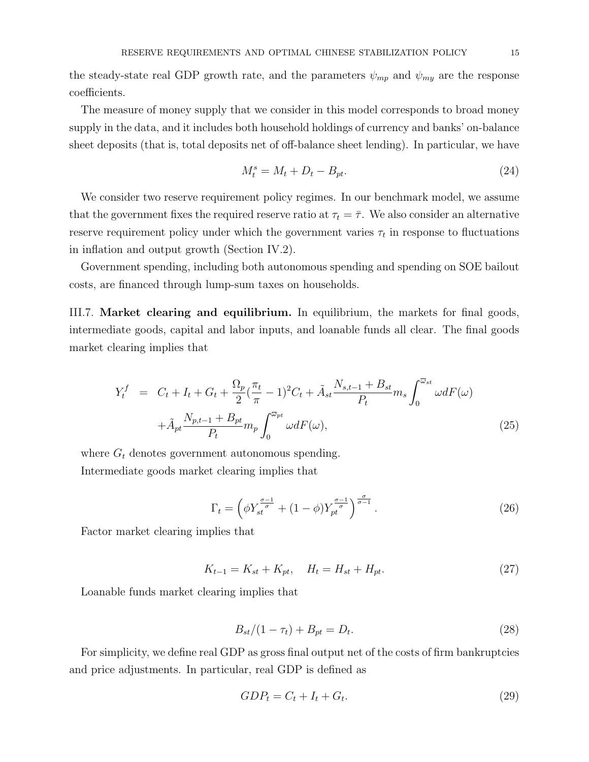the steady-state real GDP growth rate, and the parameters  $\psi_{mp}$  and  $\psi_{my}$  are the response coefficients.

The measure of money supply that we consider in this model corresponds to broad money supply in the data, and it includes both household holdings of currency and banks' on-balance sheet deposits (that is, total deposits net of off-balance sheet lending). In particular, we have

$$
M_t^s = M_t + D_t - B_{pt}.\tag{24}
$$

We consider two reserve requirement policy regimes. In our benchmark model, we assume that the government fixes the required reserve ratio at  $\tau_t = \overline{\tau}$ . We also consider an alternative reserve requirement policy under which the government varies  $\tau_t$  in response to fluctuations in inflation and output growth (Section IV.2).

Government spending, including both autonomous spending and spending on SOE bailout costs, are financed through lump-sum taxes on households.

III.7. Market clearing and equilibrium. In equilibrium, the markets for final goods, intermediate goods, capital and labor inputs, and loanable funds all clear. The final goods market clearing implies that

$$
Y_t^f = C_t + I_t + G_t + \frac{\Omega_p}{2} (\frac{\pi_t}{\pi} - 1)^2 C_t + \tilde{A}_{st} \frac{N_{s,t-1} + B_{st}}{P_t} m_s \int_0^{\overline{\omega}_{st}} \omega dF(\omega) + \tilde{A}_{pt} \frac{N_{p,t-1} + B_{pt}}{P_t} m_p \int_0^{\overline{\omega}_{pt}} \omega dF(\omega),
$$
(25)

where  $G_t$  denotes government autonomous spending. Intermediate goods market clearing implies that

$$
\Gamma_t = \left(\phi Y_{st}^{\frac{\sigma-1}{\sigma}} + (1-\phi) Y_{pt}^{\frac{\sigma-1}{\sigma}}\right)^{\frac{\sigma}{\sigma-1}}.\tag{26}
$$

Factor market clearing implies that

$$
K_{t-1} = K_{st} + K_{pt}, \quad H_t = H_{st} + H_{pt}.
$$
\n(27)

Loanable funds market clearing implies that

$$
B_{st}/(1 - \tau_t) + B_{pt} = D_t.
$$
\n(28)

For simplicity, we define real GDP as gross final output net of the costs of firm bankruptcies and price adjustments. In particular, real GDP is defined as

$$
GDP_t = C_t + I_t + G_t. \tag{29}
$$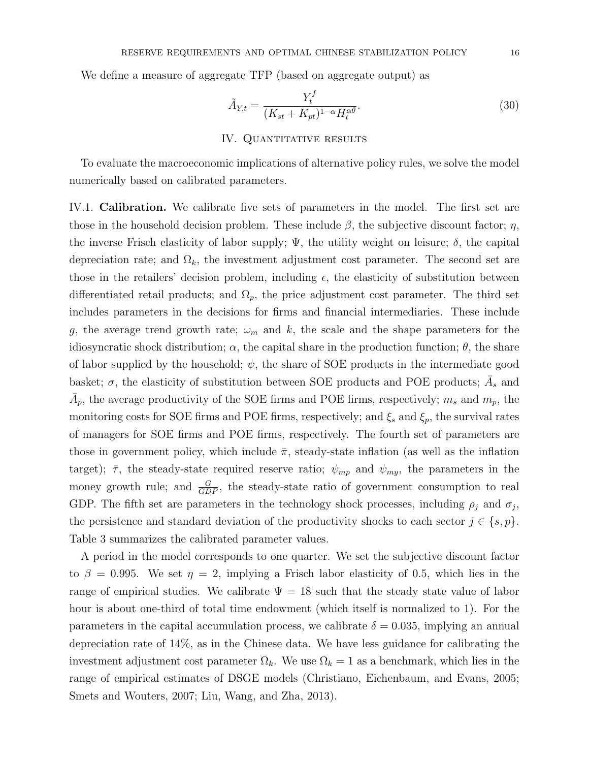We define a measure of aggregate TFP (based on aggregate output) as

$$
\tilde{A}_{Y,t} = \frac{Y_t^f}{(K_{st} + K_{pt})^{1-\alpha} H_t^{\alpha \theta}}.
$$
\n(30)

#### IV. QUANTITATIVE RESULTS

To evaluate the macroeconomic implications of alternative policy rules, we solve the model numerically based on calibrated parameters.

IV.1. Calibration. We calibrate five sets of parameters in the model. The first set are those in the household decision problem. These include  $\beta$ , the subjective discount factor;  $\eta$ , the inverse Frisch elasticity of labor supply;  $\Psi$ , the utility weight on leisure;  $\delta$ , the capital depreciation rate; and  $\Omega_k$ , the investment adjustment cost parameter. The second set are those in the retailers' decision problem, including  $\epsilon$ , the elasticity of substitution between differentiated retail products; and  $\Omega_p$ , the price adjustment cost parameter. The third set includes parameters in the decisions for firms and financial intermediaries. These include g, the average trend growth rate;  $\omega_m$  and k, the scale and the shape parameters for the idiosyncratic shock distribution;  $\alpha$ , the capital share in the production function;  $\theta$ , the share of labor supplied by the household;  $\psi$ , the share of SOE products in the intermediate good basket;  $\sigma$ , the elasticity of substitution between SOE products and POE products;  $\overline{A}_s$  and  $\bar{A}_p$ , the average productivity of the SOE firms and POE firms, respectively;  $m_s$  and  $m_p$ , the monitoring costs for SOE firms and POE firms, respectively; and  $\xi_s$  and  $\xi_p$ , the survival rates of managers for SOE firms and POE firms, respectively. The fourth set of parameters are those in government policy, which include  $\bar{\pi}$ , steady-state inflation (as well as the inflation target);  $\bar{\tau}$ , the steady-state required reserve ratio;  $\psi_{mp}$  and  $\psi_{my}$ , the parameters in the money growth rule; and  $\frac{G}{GDP}$ , the steady-state ratio of government consumption to real GDP. The fifth set are parameters in the technology shock processes, including  $\rho_j$  and  $\sigma_j$ , the persistence and standard deviation of the productivity shocks to each sector  $j \in \{s, p\}$ . Table 3 summarizes the calibrated parameter values.

A period in the model corresponds to one quarter. We set the subjective discount factor to  $\beta = 0.995$ . We set  $\eta = 2$ , implying a Frisch labor elasticity of 0.5, which lies in the range of empirical studies. We calibrate  $\Psi = 18$  such that the steady state value of labor hour is about one-third of total time endowment (which itself is normalized to 1). For the parameters in the capital accumulation process, we calibrate  $\delta = 0.035$ , implying an annual depreciation rate of 14%, as in the Chinese data. We have less guidance for calibrating the investment adjustment cost parameter  $\Omega_k$ . We use  $\Omega_k = 1$  as a benchmark, which lies in the range of empirical estimates of DSGE models (Christiano, Eichenbaum, and Evans, 2005; Smets and Wouters, 2007; Liu, Wang, and Zha, 2013).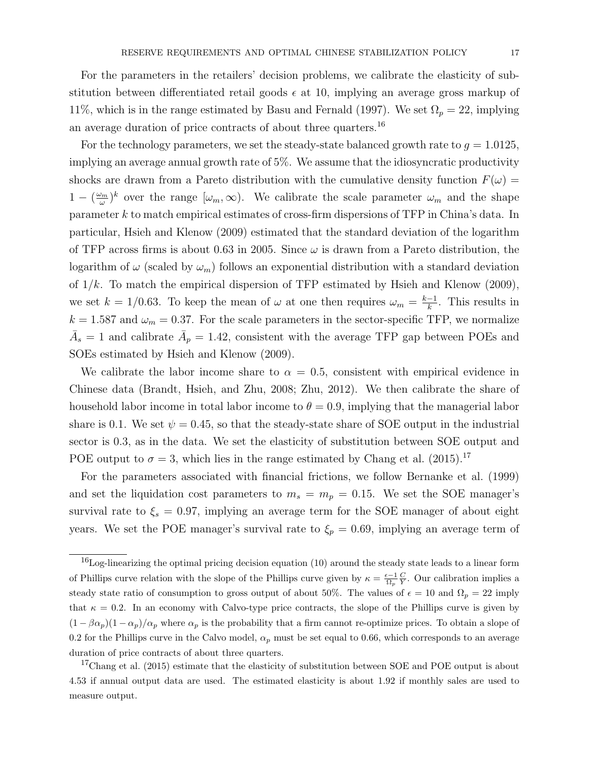For the parameters in the retailers' decision problems, we calibrate the elasticity of substitution between differentiated retail goods  $\epsilon$  at 10, implying an average gross markup of 11%, which is in the range estimated by Basu and Fernald (1997). We set  $\Omega_p = 22$ , implying an average duration of price contracts of about three quarters.<sup>16</sup>

For the technology parameters, we set the steady-state balanced growth rate to  $g = 1.0125$ , implying an average annual growth rate of 5%. We assume that the idiosyncratic productivity shocks are drawn from a Pareto distribution with the cumulative density function  $F(\omega)$  =  $1 - (\frac{\omega_m}{\omega})$  $(\omega_m)^k$  over the range  $[\omega_m,\infty)$ . We calibrate the scale parameter  $\omega_m$  and the shape parameter k to match empirical estimates of cross-firm dispersions of TFP in China's data. In particular, Hsieh and Klenow (2009) estimated that the standard deviation of the logarithm of TFP across firms is about 0.63 in 2005. Since  $\omega$  is drawn from a Pareto distribution, the logarithm of  $\omega$  (scaled by  $\omega_m$ ) follows an exponential distribution with a standard deviation of  $1/k$ . To match the empirical dispersion of TFP estimated by Hsieh and Klenow (2009), we set  $k = 1/0.63$ . To keep the mean of  $\omega$  at one then requires  $\omega_m = \frac{k-1}{k}$  $\frac{-1}{k}$ . This results in  $k = 1.587$  and  $\omega_m = 0.37$ . For the scale parameters in the sector-specific TFP, we normalize  $\bar{A}_s = 1$  and calibrate  $\bar{A}_p = 1.42$ , consistent with the average TFP gap between POEs and SOEs estimated by Hsieh and Klenow (2009).

We calibrate the labor income share to  $\alpha = 0.5$ , consistent with empirical evidence in Chinese data (Brandt, Hsieh, and Zhu, 2008; Zhu, 2012). We then calibrate the share of household labor income in total labor income to  $\theta = 0.9$ , implying that the managerial labor share is 0.1. We set  $\psi = 0.45$ , so that the steady-state share of SOE output in the industrial sector is 0.3, as in the data. We set the elasticity of substitution between SOE output and POE output to  $\sigma = 3$ , which lies in the range estimated by Chang et al. (2015).<sup>17</sup>

For the parameters associated with financial frictions, we follow Bernanke et al. (1999) and set the liquidation cost parameters to  $m_s = m_p = 0.15$ . We set the SOE manager's survival rate to  $\xi_s = 0.97$ , implying an average term for the SOE manager of about eight years. We set the POE manager's survival rate to  $\xi_p = 0.69$ , implying an average term of

<sup>&</sup>lt;sup>16</sup>Log-linearizing the optimal pricing decision equation (10) around the steady state leads to a linear form of Phillips curve relation with the slope of the Phillips curve given by  $\kappa = \frac{\epsilon - 1}{\Omega_p} \frac{C}{Y}$ . Our calibration implies a steady state ratio of consumption to gross output of about 50%. The values of  $\epsilon = 10$  and  $\Omega_p = 22$  imply that  $\kappa = 0.2$ . In an economy with Calvo-type price contracts, the slope of the Phillips curve is given by  $(1 - \beta \alpha_p)(1 - \alpha_p)/\alpha_p$  where  $\alpha_p$  is the probability that a firm cannot re-optimize prices. To obtain a slope of 0.2 for the Phillips curve in the Calvo model,  $\alpha_p$  must be set equal to 0.66, which corresponds to an average duration of price contracts of about three quarters.

 $17$ Chang et al. (2015) estimate that the elasticity of substitution between SOE and POE output is about 4.53 if annual output data are used. The estimated elasticity is about 1.92 if monthly sales are used to measure output.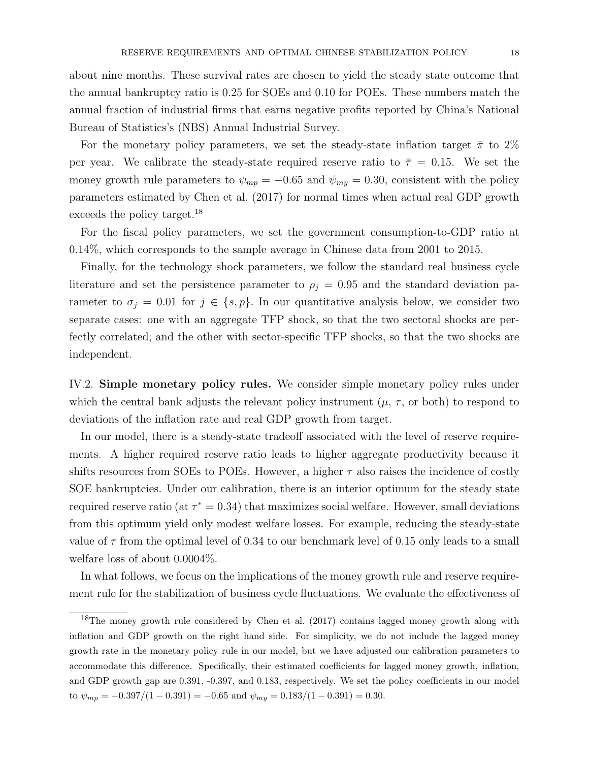about nine months. These survival rates are chosen to yield the steady state outcome that the annual bankruptcy ratio is 0.25 for SOEs and 0.10 for POEs. These numbers match the annual fraction of industrial firms that earns negative profits reported by China's National Bureau of Statistics's (NBS) Annual Industrial Survey.

For the monetary policy parameters, we set the steady-state inflation target  $\bar{\pi}$  to 2% per year. We calibrate the steady-state required reserve ratio to  $\bar{\tau} = 0.15$ . We set the money growth rule parameters to  $\psi_{mp} = -0.65$  and  $\psi_{mp} = 0.30$ , consistent with the policy parameters estimated by Chen et al. (2017) for normal times when actual real GDP growth exceeds the policy target.<sup>18</sup>

For the fiscal policy parameters, we set the government consumption-to-GDP ratio at 0.14%, which corresponds to the sample average in Chinese data from 2001 to 2015.

Finally, for the technology shock parameters, we follow the standard real business cycle literature and set the persistence parameter to  $\rho_i = 0.95$  and the standard deviation parameter to  $\sigma_j = 0.01$  for  $j \in \{s, p\}$ . In our quantitative analysis below, we consider two separate cases: one with an aggregate TFP shock, so that the two sectoral shocks are perfectly correlated; and the other with sector-specific TFP shocks, so that the two shocks are independent.

IV.2. Simple monetary policy rules. We consider simple monetary policy rules under which the central bank adjusts the relevant policy instrument  $(\mu, \tau)$ , or both) to respond to deviations of the inflation rate and real GDP growth from target.

In our model, there is a steady-state tradeoff associated with the level of reserve requirements. A higher required reserve ratio leads to higher aggregate productivity because it shifts resources from SOEs to POEs. However, a higher  $\tau$  also raises the incidence of costly SOE bankruptcies. Under our calibration, there is an interior optimum for the steady state required reserve ratio (at  $\tau^* = 0.34$ ) that maximizes social welfare. However, small deviations from this optimum yield only modest welfare losses. For example, reducing the steady-state value of  $\tau$  from the optimal level of 0.34 to our benchmark level of 0.15 only leads to a small welfare loss of about 0.0004%.

In what follows, we focus on the implications of the money growth rule and reserve requirement rule for the stabilization of business cycle fluctuations. We evaluate the effectiveness of

<sup>&</sup>lt;sup>18</sup>The money growth rule considered by Chen et al. (2017) contains lagged money growth along with inflation and GDP growth on the right hand side. For simplicity, we do not include the lagged money growth rate in the monetary policy rule in our model, but we have adjusted our calibration parameters to accommodate this difference. Specifically, their estimated coefficients for lagged money growth, inflation, and GDP growth gap are 0.391, -0.397, and 0.183, respectively. We set the policy coefficients in our model to  $\psi_{mp} = -0.397/(1 - 0.391) = -0.65$  and  $\psi_{mp} = 0.183/(1 - 0.391) = 0.30$ .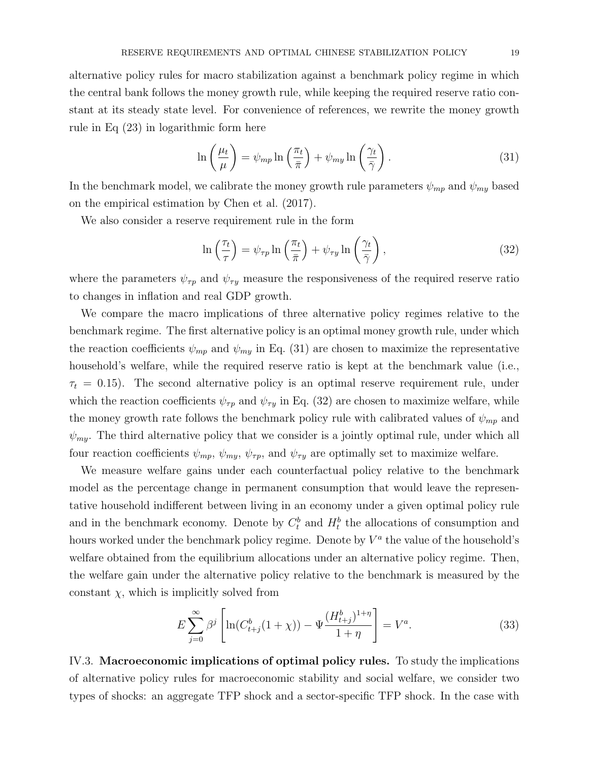alternative policy rules for macro stabilization against a benchmark policy regime in which the central bank follows the money growth rule, while keeping the required reserve ratio constant at its steady state level. For convenience of references, we rewrite the money growth rule in Eq (23) in logarithmic form here

$$
\ln\left(\frac{\mu_t}{\mu}\right) = \psi_{mp} \ln\left(\frac{\pi_t}{\bar{\pi}}\right) + \psi_{my} \ln\left(\frac{\gamma_t}{\bar{\gamma}}\right). \tag{31}
$$

In the benchmark model, we calibrate the money growth rule parameters  $\psi_{mp}$  and  $\psi_{mp}$  based on the empirical estimation by Chen et al. (2017).

We also consider a reserve requirement rule in the form

$$
\ln\left(\frac{\tau_t}{\tau}\right) = \psi_{\tau p} \ln\left(\frac{\pi_t}{\bar{\pi}}\right) + \psi_{\tau y} \ln\left(\frac{\gamma_t}{\bar{\gamma}}\right),\tag{32}
$$

where the parameters  $\psi_{\tau p}$  and  $\psi_{\tau y}$  measure the responsiveness of the required reserve ratio to changes in inflation and real GDP growth.

We compare the macro implications of three alternative policy regimes relative to the benchmark regime. The first alternative policy is an optimal money growth rule, under which the reaction coefficients  $\psi_{mp}$  and  $\psi_{mp}$  in Eq. (31) are chosen to maximize the representative household's welfare, while the required reserve ratio is kept at the benchmark value (i.e.,  $\tau_t = 0.15$ ). The second alternative policy is an optimal reserve requirement rule, under which the reaction coefficients  $\psi_{\tau p}$  and  $\psi_{\tau y}$  in Eq. (32) are chosen to maximize welfare, while the money growth rate follows the benchmark policy rule with calibrated values of  $\psi_{mp}$  and  $\psi_{my}$ . The third alternative policy that we consider is a jointly optimal rule, under which all four reaction coefficients  $\psi_{mp}$ ,  $\psi_{mp}$ ,  $\psi_{\tau p}$ , and  $\psi_{\tau y}$  are optimally set to maximize welfare.

We measure welfare gains under each counterfactual policy relative to the benchmark model as the percentage change in permanent consumption that would leave the representative household indifferent between living in an economy under a given optimal policy rule and in the benchmark economy. Denote by  $C_t^b$  and  $H_t^b$  the allocations of consumption and hours worked under the benchmark policy regime. Denote by  $V^a$  the value of the household's welfare obtained from the equilibrium allocations under an alternative policy regime. Then, the welfare gain under the alternative policy relative to the benchmark is measured by the constant  $\chi$ , which is implicitly solved from

$$
E\sum_{j=0}^{\infty} \beta^j \left[ \ln(C_{t+j}^b(1+\chi)) - \Psi \frac{(H_{t+j}^b)^{1+\eta}}{1+\eta} \right] = V^a.
$$
 (33)

IV.3. Macroeconomic implications of optimal policy rules. To study the implications of alternative policy rules for macroeconomic stability and social welfare, we consider two types of shocks: an aggregate TFP shock and a sector-specific TFP shock. In the case with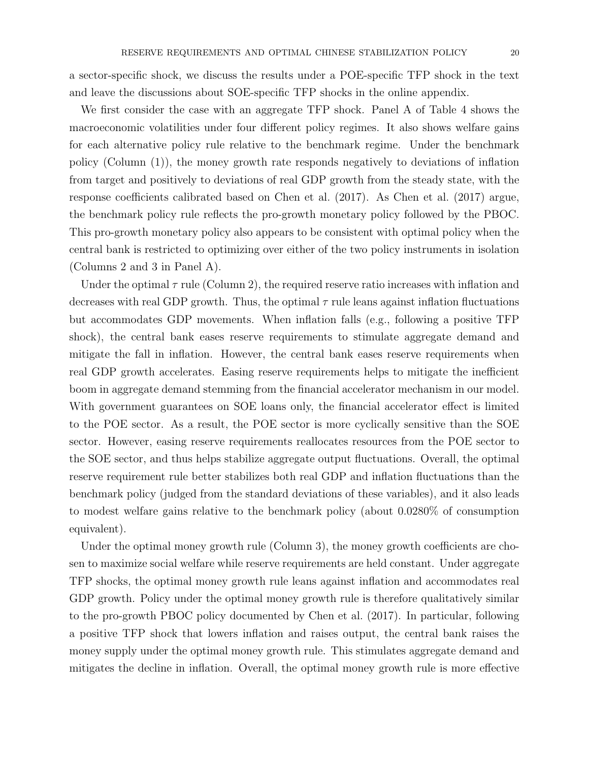a sector-specific shock, we discuss the results under a POE-specific TFP shock in the text and leave the discussions about SOE-specific TFP shocks in the online appendix.

We first consider the case with an aggregate TFP shock. Panel A of Table 4 shows the macroeconomic volatilities under four different policy regimes. It also shows welfare gains for each alternative policy rule relative to the benchmark regime. Under the benchmark policy (Column (1)), the money growth rate responds negatively to deviations of inflation from target and positively to deviations of real GDP growth from the steady state, with the response coefficients calibrated based on Chen et al. (2017). As Chen et al. (2017) argue, the benchmark policy rule reflects the pro-growth monetary policy followed by the PBOC. This pro-growth monetary policy also appears to be consistent with optimal policy when the central bank is restricted to optimizing over either of the two policy instruments in isolation (Columns 2 and 3 in Panel A).

Under the optimal  $\tau$  rule (Column 2), the required reserve ratio increases with inflation and decreases with real GDP growth. Thus, the optimal  $\tau$  rule leans against inflation fluctuations but accommodates GDP movements. When inflation falls (e.g., following a positive TFP shock), the central bank eases reserve requirements to stimulate aggregate demand and mitigate the fall in inflation. However, the central bank eases reserve requirements when real GDP growth accelerates. Easing reserve requirements helps to mitigate the inefficient boom in aggregate demand stemming from the financial accelerator mechanism in our model. With government guarantees on SOE loans only, the financial accelerator effect is limited to the POE sector. As a result, the POE sector is more cyclically sensitive than the SOE sector. However, easing reserve requirements reallocates resources from the POE sector to the SOE sector, and thus helps stabilize aggregate output fluctuations. Overall, the optimal reserve requirement rule better stabilizes both real GDP and inflation fluctuations than the benchmark policy (judged from the standard deviations of these variables), and it also leads to modest welfare gains relative to the benchmark policy (about 0.0280% of consumption equivalent).

Under the optimal money growth rule (Column 3), the money growth coefficients are chosen to maximize social welfare while reserve requirements are held constant. Under aggregate TFP shocks, the optimal money growth rule leans against inflation and accommodates real GDP growth. Policy under the optimal money growth rule is therefore qualitatively similar to the pro-growth PBOC policy documented by Chen et al. (2017). In particular, following a positive TFP shock that lowers inflation and raises output, the central bank raises the money supply under the optimal money growth rule. This stimulates aggregate demand and mitigates the decline in inflation. Overall, the optimal money growth rule is more effective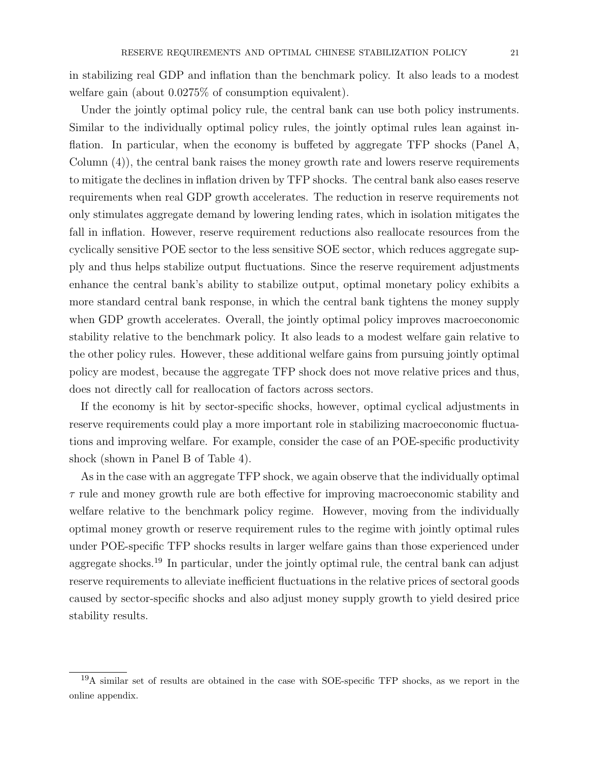in stabilizing real GDP and inflation than the benchmark policy. It also leads to a modest welfare gain (about 0.0275% of consumption equivalent).

Under the jointly optimal policy rule, the central bank can use both policy instruments. Similar to the individually optimal policy rules, the jointly optimal rules lean against inflation. In particular, when the economy is buffeted by aggregate TFP shocks (Panel A, Column (4)), the central bank raises the money growth rate and lowers reserve requirements to mitigate the declines in inflation driven by TFP shocks. The central bank also eases reserve requirements when real GDP growth accelerates. The reduction in reserve requirements not only stimulates aggregate demand by lowering lending rates, which in isolation mitigates the fall in inflation. However, reserve requirement reductions also reallocate resources from the cyclically sensitive POE sector to the less sensitive SOE sector, which reduces aggregate supply and thus helps stabilize output fluctuations. Since the reserve requirement adjustments enhance the central bank's ability to stabilize output, optimal monetary policy exhibits a more standard central bank response, in which the central bank tightens the money supply when GDP growth accelerates. Overall, the jointly optimal policy improves macroeconomic stability relative to the benchmark policy. It also leads to a modest welfare gain relative to the other policy rules. However, these additional welfare gains from pursuing jointly optimal policy are modest, because the aggregate TFP shock does not move relative prices and thus, does not directly call for reallocation of factors across sectors.

If the economy is hit by sector-specific shocks, however, optimal cyclical adjustments in reserve requirements could play a more important role in stabilizing macroeconomic fluctuations and improving welfare. For example, consider the case of an POE-specific productivity shock (shown in Panel B of Table 4).

As in the case with an aggregate TFP shock, we again observe that the individually optimal  $\tau$  rule and money growth rule are both effective for improving macroeconomic stability and welfare relative to the benchmark policy regime. However, moving from the individually optimal money growth or reserve requirement rules to the regime with jointly optimal rules under POE-specific TFP shocks results in larger welfare gains than those experienced under aggregate shocks.<sup>19</sup> In particular, under the jointly optimal rule, the central bank can adjust reserve requirements to alleviate inefficient fluctuations in the relative prices of sectoral goods caused by sector-specific shocks and also adjust money supply growth to yield desired price stability results.

<sup>19</sup>A similar set of results are obtained in the case with SOE-specific TFP shocks, as we report in the online appendix.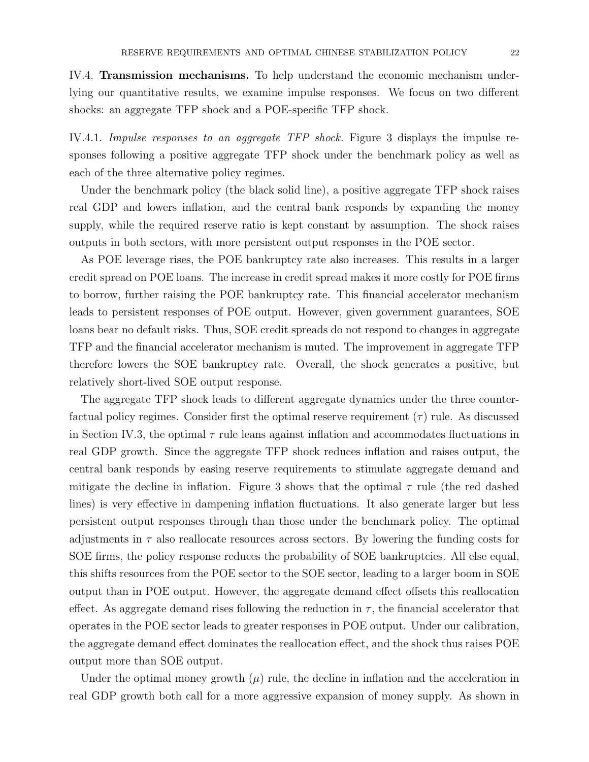IV.4. Transmission mechanisms. To help understand the economic mechanism underlying our quantitative results, we examine impulse responses. We focus on two different shocks: an aggregate TFP shock and a POE-specific TFP shock.

IV.4.1. Impulse responses to an aggregate TFP shock. Figure 3 displays the impulse responses following a positive aggregate TFP shock under the benchmark policy as well as each of the three alternative policy regimes.

Under the benchmark policy (the black solid line), a positive aggregate TFP shock raises real GDP and lowers inflation, and the central bank responds by expanding the money supply, while the required reserve ratio is kept constant by assumption. The shock raises outputs in both sectors, with more persistent output responses in the POE sector.

As POE leverage rises, the POE bankruptcy rate also increases. This results in a larger credit spread on POE loans. The increase in credit spread makes it more costly for POE firms to borrow, further raising the POE bankruptcy rate. This financial accelerator mechanism leads to persistent responses of POE output. However, given government guarantees, SOE loans bear no default risks. Thus, SOE credit spreads do not respond to changes in aggregate TFP and the financial accelerator mechanism is muted. The improvement in aggregate TFP therefore lowers the SOE bankruptcy rate. Overall, the shock generates a positive, but relatively short-lived SOE output response.

The aggregate TFP shock leads to different aggregate dynamics under the three counterfactual policy regimes. Consider first the optimal reserve requirement  $(\tau)$  rule. As discussed in Section IV.3, the optimal  $\tau$  rule leans against inflation and accommodates fluctuations in real GDP growth. Since the aggregate TFP shock reduces inflation and raises output, the central bank responds by easing reserve requirements to stimulate aggregate demand and mitigate the decline in inflation. Figure 3 shows that the optimal  $\tau$  rule (the red dashed lines) is very effective in dampening inflation fluctuations. It also generate larger but less persistent output responses through than those under the benchmark policy. The optimal adjustments in  $\tau$  also reallocate resources across sectors. By lowering the funding costs for SOE firms, the policy response reduces the probability of SOE bankruptcies. All else equal, this shifts resources from the POE sector to the SOE sector, leading to a larger boom in SOE output than in POE output. However, the aggregate demand effect offsets this reallocation effect. As aggregate demand rises following the reduction in  $\tau$ , the financial accelerator that operates in the POE sector leads to greater responses in POE output. Under our calibration, the aggregate demand effect dominates the reallocation effect, and the shock thus raises POE output more than SOE output.

Under the optimal money growth  $(\mu)$  rule, the decline in inflation and the acceleration in real GDP growth both call for a more aggressive expansion of money supply. As shown in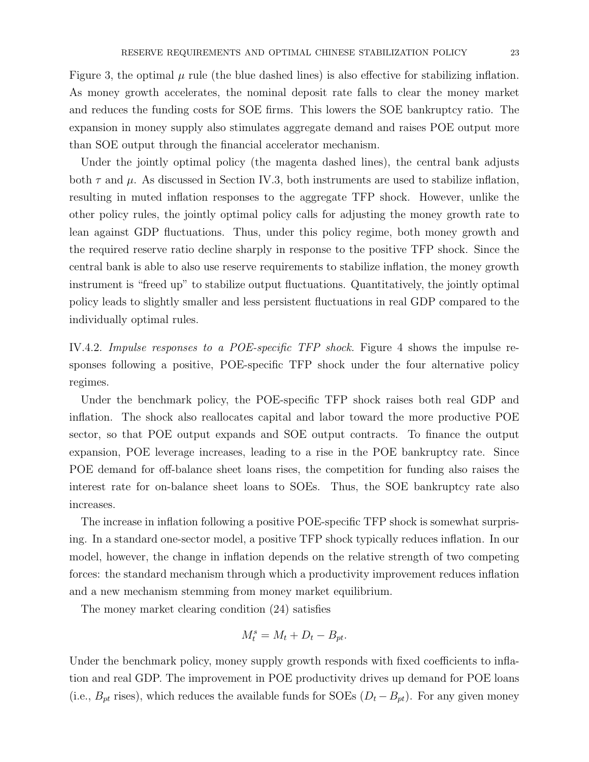Figure 3, the optimal  $\mu$  rule (the blue dashed lines) is also effective for stabilizing inflation. As money growth accelerates, the nominal deposit rate falls to clear the money market and reduces the funding costs for SOE firms. This lowers the SOE bankruptcy ratio. The expansion in money supply also stimulates aggregate demand and raises POE output more than SOE output through the financial accelerator mechanism.

Under the jointly optimal policy (the magenta dashed lines), the central bank adjusts both  $\tau$  and  $\mu$ . As discussed in Section IV.3, both instruments are used to stabilize inflation, resulting in muted inflation responses to the aggregate TFP shock. However, unlike the other policy rules, the jointly optimal policy calls for adjusting the money growth rate to lean against GDP fluctuations. Thus, under this policy regime, both money growth and the required reserve ratio decline sharply in response to the positive TFP shock. Since the central bank is able to also use reserve requirements to stabilize inflation, the money growth instrument is "freed up" to stabilize output fluctuations. Quantitatively, the jointly optimal policy leads to slightly smaller and less persistent fluctuations in real GDP compared to the individually optimal rules.

IV.4.2. Impulse responses to a POE-specific TFP shock. Figure 4 shows the impulse responses following a positive, POE-specific TFP shock under the four alternative policy regimes.

Under the benchmark policy, the POE-specific TFP shock raises both real GDP and inflation. The shock also reallocates capital and labor toward the more productive POE sector, so that POE output expands and SOE output contracts. To finance the output expansion, POE leverage increases, leading to a rise in the POE bankruptcy rate. Since POE demand for off-balance sheet loans rises, the competition for funding also raises the interest rate for on-balance sheet loans to SOEs. Thus, the SOE bankruptcy rate also increases.

The increase in inflation following a positive POE-specific TFP shock is somewhat surprising. In a standard one-sector model, a positive TFP shock typically reduces inflation. In our model, however, the change in inflation depends on the relative strength of two competing forces: the standard mechanism through which a productivity improvement reduces inflation and a new mechanism stemming from money market equilibrium.

The money market clearing condition (24) satisfies

$$
M_t^s = M_t + D_t - B_{pt}.
$$

Under the benchmark policy, money supply growth responds with fixed coefficients to inflation and real GDP. The improvement in POE productivity drives up demand for POE loans (i.e.,  $B_{pt}$  rises), which reduces the available funds for SOEs  $(D_t - B_{pt})$ . For any given money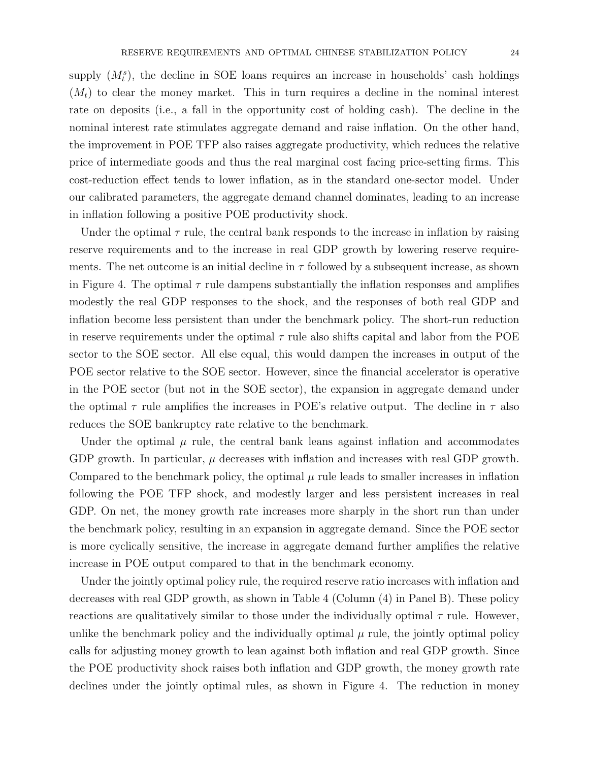supply  $(M_t^s)$ , the decline in SOE loans requires an increase in households' cash holdings  $(M_t)$  to clear the money market. This in turn requires a decline in the nominal interest rate on deposits (i.e., a fall in the opportunity cost of holding cash). The decline in the nominal interest rate stimulates aggregate demand and raise inflation. On the other hand, the improvement in POE TFP also raises aggregate productivity, which reduces the relative price of intermediate goods and thus the real marginal cost facing price-setting firms. This cost-reduction effect tends to lower inflation, as in the standard one-sector model. Under our calibrated parameters, the aggregate demand channel dominates, leading to an increase in inflation following a positive POE productivity shock.

Under the optimal  $\tau$  rule, the central bank responds to the increase in inflation by raising reserve requirements and to the increase in real GDP growth by lowering reserve requirements. The net outcome is an initial decline in  $\tau$  followed by a subsequent increase, as shown in Figure 4. The optimal  $\tau$  rule dampens substantially the inflation responses and amplifies modestly the real GDP responses to the shock, and the responses of both real GDP and inflation become less persistent than under the benchmark policy. The short-run reduction in reserve requirements under the optimal  $\tau$  rule also shifts capital and labor from the POE sector to the SOE sector. All else equal, this would dampen the increases in output of the POE sector relative to the SOE sector. However, since the financial accelerator is operative in the POE sector (but not in the SOE sector), the expansion in aggregate demand under the optimal  $\tau$  rule amplifies the increases in POE's relative output. The decline in  $\tau$  also reduces the SOE bankruptcy rate relative to the benchmark.

Under the optimal  $\mu$  rule, the central bank leans against inflation and accommodates GDP growth. In particular,  $\mu$  decreases with inflation and increases with real GDP growth. Compared to the benchmark policy, the optimal  $\mu$  rule leads to smaller increases in inflation following the POE TFP shock, and modestly larger and less persistent increases in real GDP. On net, the money growth rate increases more sharply in the short run than under the benchmark policy, resulting in an expansion in aggregate demand. Since the POE sector is more cyclically sensitive, the increase in aggregate demand further amplifies the relative increase in POE output compared to that in the benchmark economy.

Under the jointly optimal policy rule, the required reserve ratio increases with inflation and decreases with real GDP growth, as shown in Table 4 (Column (4) in Panel B). These policy reactions are qualitatively similar to those under the individually optimal  $\tau$  rule. However, unlike the benchmark policy and the individually optimal  $\mu$  rule, the jointly optimal policy calls for adjusting money growth to lean against both inflation and real GDP growth. Since the POE productivity shock raises both inflation and GDP growth, the money growth rate declines under the jointly optimal rules, as shown in Figure 4. The reduction in money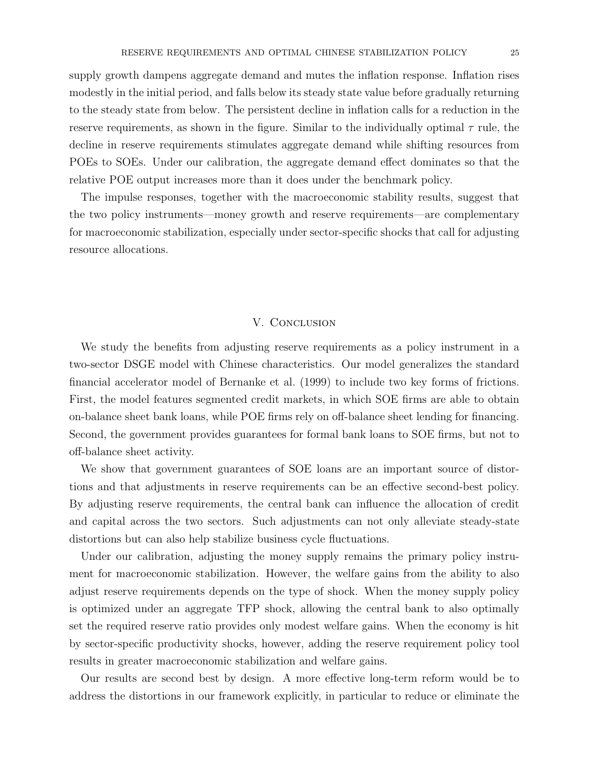supply growth dampens aggregate demand and mutes the inflation response. Inflation rises modestly in the initial period, and falls below its steady state value before gradually returning to the steady state from below. The persistent decline in inflation calls for a reduction in the reserve requirements, as shown in the figure. Similar to the individually optimal  $\tau$  rule, the decline in reserve requirements stimulates aggregate demand while shifting resources from POEs to SOEs. Under our calibration, the aggregate demand effect dominates so that the relative POE output increases more than it does under the benchmark policy.

The impulse responses, together with the macroeconomic stability results, suggest that the two policy instruments—money growth and reserve requirements—are complementary for macroeconomic stabilization, especially under sector-specific shocks that call for adjusting resource allocations.

### V. Conclusion

We study the benefits from adjusting reserve requirements as a policy instrument in a two-sector DSGE model with Chinese characteristics. Our model generalizes the standard financial accelerator model of Bernanke et al. (1999) to include two key forms of frictions. First, the model features segmented credit markets, in which SOE firms are able to obtain on-balance sheet bank loans, while POE firms rely on off-balance sheet lending for financing. Second, the government provides guarantees for formal bank loans to SOE firms, but not to off-balance sheet activity.

We show that government guarantees of SOE loans are an important source of distortions and that adjustments in reserve requirements can be an effective second-best policy. By adjusting reserve requirements, the central bank can influence the allocation of credit and capital across the two sectors. Such adjustments can not only alleviate steady-state distortions but can also help stabilize business cycle fluctuations.

Under our calibration, adjusting the money supply remains the primary policy instrument for macroeconomic stabilization. However, the welfare gains from the ability to also adjust reserve requirements depends on the type of shock. When the money supply policy is optimized under an aggregate TFP shock, allowing the central bank to also optimally set the required reserve ratio provides only modest welfare gains. When the economy is hit by sector-specific productivity shocks, however, adding the reserve requirement policy tool results in greater macroeconomic stabilization and welfare gains.

Our results are second best by design. A more effective long-term reform would be to address the distortions in our framework explicitly, in particular to reduce or eliminate the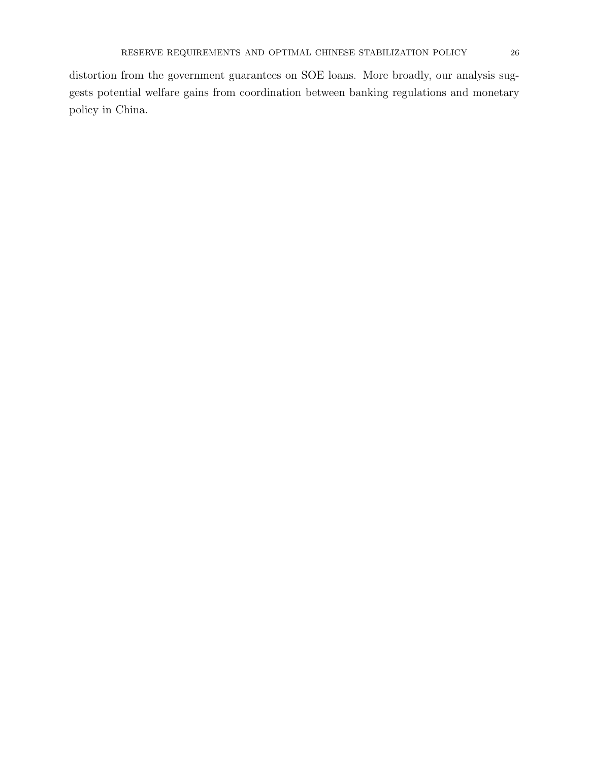distortion from the government guarantees on SOE loans. More broadly, our analysis suggests potential welfare gains from coordination between banking regulations and monetary policy in China.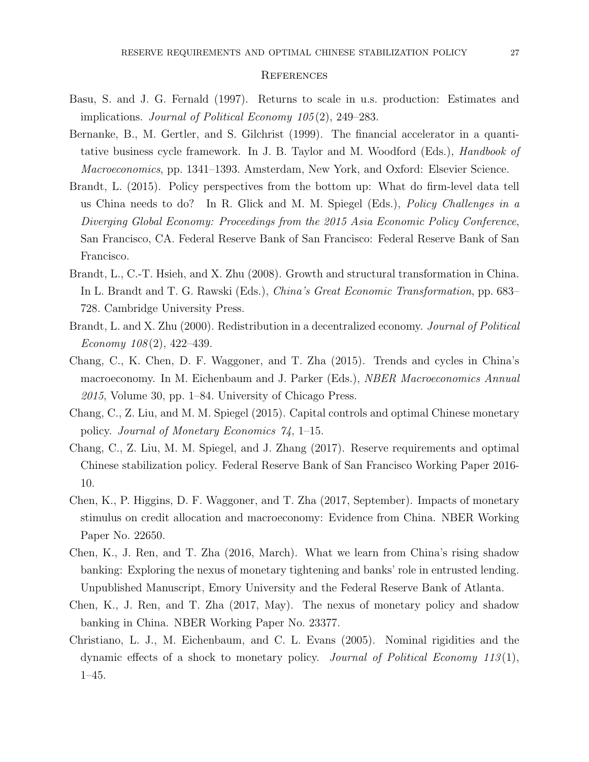#### **REFERENCES**

- Basu, S. and J. G. Fernald (1997). Returns to scale in u.s. production: Estimates and implications. Journal of Political Economy 105 (2), 249–283.
- Bernanke, B., M. Gertler, and S. Gilchrist (1999). The financial accelerator in a quantitative business cycle framework. In J. B. Taylor and M. Woodford (Eds.), Handbook of Macroeconomics, pp. 1341–1393. Amsterdam, New York, and Oxford: Elsevier Science.
- Brandt, L. (2015). Policy perspectives from the bottom up: What do firm-level data tell us China needs to do? In R. Glick and M. M. Spiegel (Eds.), Policy Challenges in a Diverging Global Economy: Proceedings from the 2015 Asia Economic Policy Conference, San Francisco, CA. Federal Reserve Bank of San Francisco: Federal Reserve Bank of San Francisco.
- Brandt, L., C.-T. Hsieh, and X. Zhu (2008). Growth and structural transformation in China. In L. Brandt and T. G. Rawski (Eds.), China's Great Economic Transformation, pp. 683– 728. Cambridge University Press.
- Brandt, L. and X. Zhu (2000). Redistribution in a decentralized economy. Journal of Political Economy  $108(2)$ , 422-439.
- Chang, C., K. Chen, D. F. Waggoner, and T. Zha (2015). Trends and cycles in China's macroeconomy. In M. Eichenbaum and J. Parker (Eds.), *NBER Macroeconomics Annual*  $2015$ , Volume 30, pp. 1–84. University of Chicago Press.
- Chang, C., Z. Liu, and M. M. Spiegel (2015). Capital controls and optimal Chinese monetary policy. Journal of Monetary Economics 74, 1–15.
- Chang, C., Z. Liu, M. M. Spiegel, and J. Zhang (2017). Reserve requirements and optimal Chinese stabilization policy. Federal Reserve Bank of San Francisco Working Paper 2016- 10.
- Chen, K., P. Higgins, D. F. Waggoner, and T. Zha (2017, September). Impacts of monetary stimulus on credit allocation and macroeconomy: Evidence from China. NBER Working Paper No. 22650.
- Chen, K., J. Ren, and T. Zha (2016, March). What we learn from China's rising shadow banking: Exploring the nexus of monetary tightening and banks' role in entrusted lending. Unpublished Manuscript, Emory University and the Federal Reserve Bank of Atlanta.
- Chen, K., J. Ren, and T. Zha (2017, May). The nexus of monetary policy and shadow banking in China. NBER Working Paper No. 23377.
- Christiano, L. J., M. Eichenbaum, and C. L. Evans (2005). Nominal rigidities and the dynamic effects of a shock to monetary policy. Journal of Political Economy 113(1), 1–45.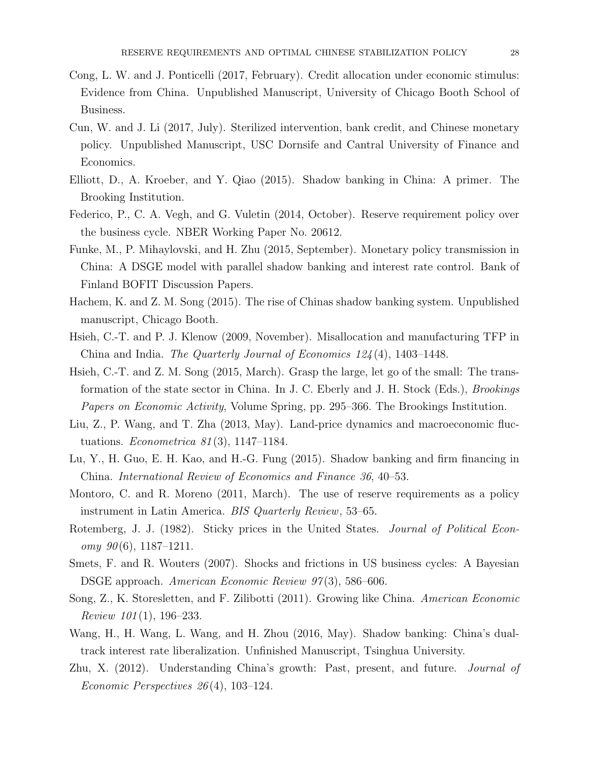- Cong, L. W. and J. Ponticelli (2017, February). Credit allocation under economic stimulus: Evidence from China. Unpublished Manuscript, University of Chicago Booth School of Business.
- Cun, W. and J. Li (2017, July). Sterilized intervention, bank credit, and Chinese monetary policy. Unpublished Manuscript, USC Dornsife and Cantral University of Finance and Economics.
- Elliott, D., A. Kroeber, and Y. Qiao (2015). Shadow banking in China: A primer. The Brooking Institution.
- Federico, P., C. A. Vegh, and G. Vuletin (2014, October). Reserve requirement policy over the business cycle. NBER Working Paper No. 20612.
- Funke, M., P. Mihaylovski, and H. Zhu (2015, September). Monetary policy transmission in China: A DSGE model with parallel shadow banking and interest rate control. Bank of Finland BOFIT Discussion Papers.
- Hachem, K. and Z. M. Song (2015). The rise of Chinas shadow banking system. Unpublished manuscript, Chicago Booth.
- Hsieh, C.-T. and P. J. Klenow (2009, November). Misallocation and manufacturing TFP in China and India. The Quarterly Journal of Economics 124 (4), 1403–1448.
- Hsieh, C.-T. and Z. M. Song (2015, March). Grasp the large, let go of the small: The transformation of the state sector in China. In J. C. Eberly and J. H. Stock (Eds.), Brookings Papers on Economic Activity, Volume Spring, pp. 295–366. The Brookings Institution.
- Liu, Z., P. Wang, and T. Zha (2013, May). Land-price dynamics and macroeconomic fluctuations. *Econometrica* 81(3), 1147–1184.
- Lu, Y., H. Guo, E. H. Kao, and H.-G. Fung (2015). Shadow banking and firm financing in China. International Review of Economics and Finance 36, 40–53.
- Montoro, C. and R. Moreno (2011, March). The use of reserve requirements as a policy instrument in Latin America. BIS Quarterly Review, 53–65.
- Rotemberg, J. J. (1982). Sticky prices in the United States. *Journal of Political Econ* $omy \; 90(6), 1187-1211.$
- Smets, F. and R. Wouters (2007). Shocks and frictions in US business cycles: A Bayesian DSGE approach. American Economic Review 97(3), 586–606.
- Song, Z., K. Storesletten, and F. Zilibotti (2011). Growing like China. American Economic Review  $101(1)$ , 196-233.
- Wang, H., H. Wang, L. Wang, and H. Zhou (2016, May). Shadow banking: China's dualtrack interest rate liberalization. Unfinished Manuscript, Tsinghua University.
- Zhu, X. (2012). Understanding China's growth: Past, present, and future. Journal of Economic Perspectives 26 (4), 103–124.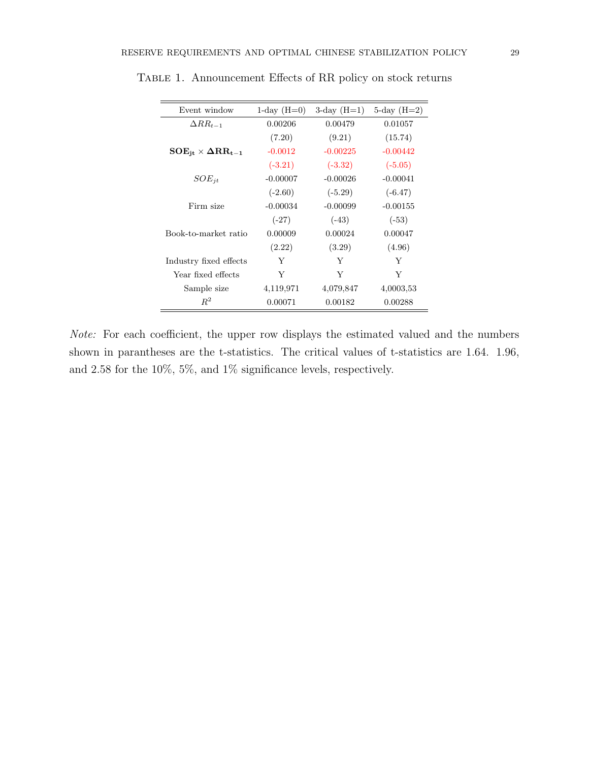| Event window                           | $1$ -day $(H=0)$ | $3$ -day $(H=1)$ | $5$ -day $(H=2)$ |
|----------------------------------------|------------------|------------------|------------------|
| $\Delta RR_{t-1}$                      | 0.00206          | 0.00479          | 0.01057          |
|                                        | (7.20)           | (9.21)           | (15.74)          |
| $\rm{SOE}_{it} \times \Delta RR_{t-1}$ | $-0.0012$        | $-0.00225$       | $-0.00442$       |
|                                        | $(-3.21)$        | $(-3.32)$        | $(-5.05)$        |
| $SOE_{it}$                             | $-0.00007$       | $-0.00026$       | $-0.00041$       |
|                                        | $(-2.60)$        | $(-5.29)$        | $(-6.47)$        |
| Firm size                              | $-0.00034$       | $-0.00099$       | $-0.00155$       |
|                                        | $(-27)$          | $(-43)$          | $(-53)$          |
| Book-to-market ratio                   | 0.00009          | 0.00024          | 0.00047          |
|                                        | (2.22)           | (3.29)           | (4.96)           |
| Industry fixed effects                 | Y                | Y                | Y                |
| Year fixed effects                     | Y                | Y                | Y                |
| Sample size                            | 4,119,971        | 4,079,847        | 4,0003,53        |
| $R^2$                                  | 0.00071          | 0.00182          | 0.00288          |

TABLE 1. Announcement Effects of RR policy on stock returns

Note: For each coefficient, the upper row displays the estimated valued and the numbers shown in parantheses are the t-statistics. The critical values of t-statistics are 1.64. 1.96, and 2.58 for the 10%, 5%, and 1% significance levels, respectively.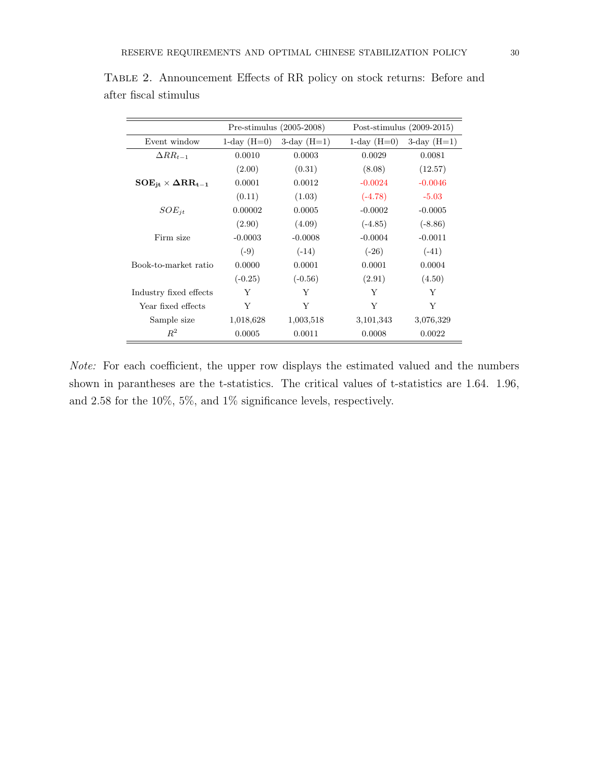|                                        | Pre-stimulus $(2005-2008)$ |                  | Post-stimulus $(2009-2015)$ |                  |
|----------------------------------------|----------------------------|------------------|-----------------------------|------------------|
| Event window                           | $1$ -day $(H=0)$           | $3$ -day $(H=1)$ | $1$ -day $(H=0)$            | $3$ -day $(H=1)$ |
| $\Delta RR_{t-1}$                      | 0.0010                     | 0.0003           | 0.0029                      | 0.0081           |
|                                        | (2.00)                     | (0.31)           | (8.08)                      | (12.57)          |
| $\rm{SOE}_{it} \times \Delta RR_{t-1}$ | 0.0001                     | 0.0012           | $-0.0024$                   | $-0.0046$        |
|                                        | (0.11)                     | (1.03)           | $(-4.78)$                   | $-5.03$          |
| $SOE_{it}$                             | 0.00002                    | 0.0005           | $-0.0002$                   | $-0.0005$        |
|                                        | (2.90)                     | (4.09)           | $(-4.85)$                   | $(-8.86)$        |
| Firm size                              | $-0.0003$                  | $-0.0008$        | $-0.0004$                   | $-0.0011$        |
|                                        | $(-9)$                     | $(-14)$          | $(-26)$                     | $(-41)$          |
| Book-to-market ratio                   | 0.0000                     | 0.0001           | 0.0001                      | 0.0004           |
|                                        | $(-0.25)$                  | $(-0.56)$        | (2.91)                      | (4.50)           |
| Industry fixed effects                 | Y                          | Y                | Y                           | Y                |
| Year fixed effects                     | Y                          | Y                | Y                           | Y                |
| Sample size                            | 1,018,628                  | 1,003,518        | 3,101,343                   | 3,076,329        |
| $R^2$                                  | 0.0005                     | 0.0011           | 0.0008                      | 0.0022           |

Table 2. Announcement Effects of RR policy on stock returns: Before and after fiscal stimulus

Note: For each coefficient, the upper row displays the estimated valued and the numbers shown in parantheses are the t-statistics. The critical values of t-statistics are 1.64. 1.96, and 2.58 for the 10%, 5%, and 1% significance levels, respectively.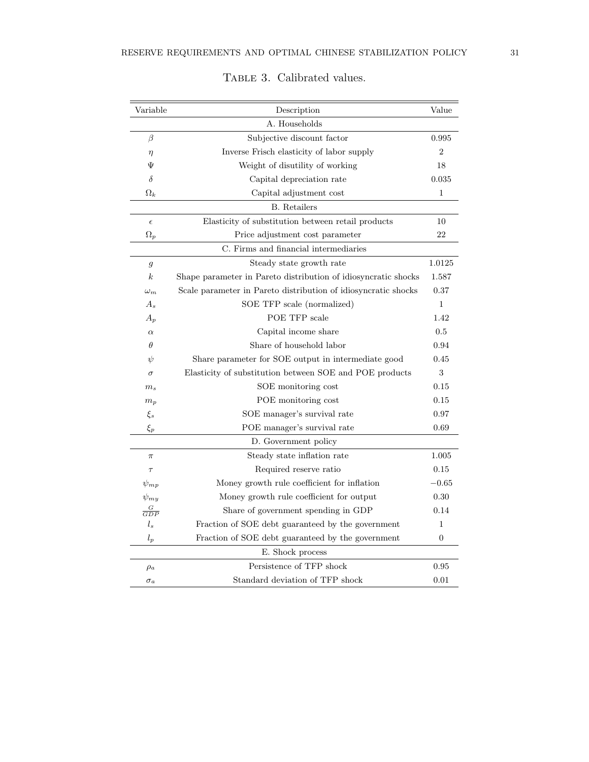| Variable         | Description                                                    | Value          |  |  |
|------------------|----------------------------------------------------------------|----------------|--|--|
|                  | A. Households                                                  |                |  |  |
| β                | Subjective discount factor                                     | 0.995          |  |  |
| $\eta$           | Inverse Frisch elasticity of labor supply                      | $\overline{2}$ |  |  |
| Ψ                | Weight of disutility of working                                |                |  |  |
| δ                | Capital depreciation rate                                      |                |  |  |
| $\Omega_k$       | Capital adjustment cost                                        | 1              |  |  |
|                  | <b>B.</b> Retailers                                            |                |  |  |
| $\epsilon$       | Elasticity of substitution between retail products             | 10             |  |  |
| $\Omega_p$       | Price adjustment cost parameter                                | 22             |  |  |
|                  | C. Firms and financial intermediaries                          |                |  |  |
| $\mathfrak{g}$   | Steady state growth rate                                       | 1.0125         |  |  |
| $\boldsymbol{k}$ | Shape parameter in Pareto distribution of idiosyncratic shocks | 1.587          |  |  |
| $\omega_m$       | Scale parameter in Pareto distribution of idiosyncratic shocks | 0.37           |  |  |
| $A_{s}$          | SOE TFP scale (normalized)                                     | $\mathbf{1}$   |  |  |
| $A_p$            | POE TFP scale                                                  | 1.42           |  |  |
| $\alpha$         | Capital income share                                           | 0.5            |  |  |
| θ                | Share of household labor                                       | 0.94           |  |  |
| ψ                | Share parameter for SOE output in intermediate good            | 0.45           |  |  |
| $\sigma$         | Elasticity of substitution between SOE and POE products        | 3              |  |  |
| m <sub>s</sub>   | SOE monitoring cost                                            | 0.15           |  |  |
| $m_p$            | POE monitoring cost                                            | 0.15           |  |  |
| $\xi_s$          | SOE manager's survival rate                                    | 0.97           |  |  |
| $\xi_p$          | POE manager's survival rate                                    | 0.69           |  |  |
|                  | D. Government policy                                           |                |  |  |
| $\pi$            | Steady state inflation rate                                    | 1.005          |  |  |
| $\tau$           | Required reserve ratio                                         | 0.15           |  |  |
| $\psi_{mp}$      | Money growth rule coefficient for inflation                    | $-0.65$        |  |  |
| $\psi_{mu}$      | Money growth rule coefficient for output                       | 0.30           |  |  |
| $\frac{G}{GDP}$  | Share of government spending in GDP                            | 0.14           |  |  |
| $l_s$            | Fraction of SOE debt guaranteed by the government              | 1              |  |  |
| $l_p$            | Fraction of SOE debt guaranteed by the government              | $\overline{0}$ |  |  |
|                  | E. Shock process                                               |                |  |  |
| $\rho_a$         | Persistence of TFP shock                                       | 0.95           |  |  |
| $\sigma_a$       | Standard deviation of TFP shock                                | 0.01           |  |  |

# TABLE 3. Calibrated values.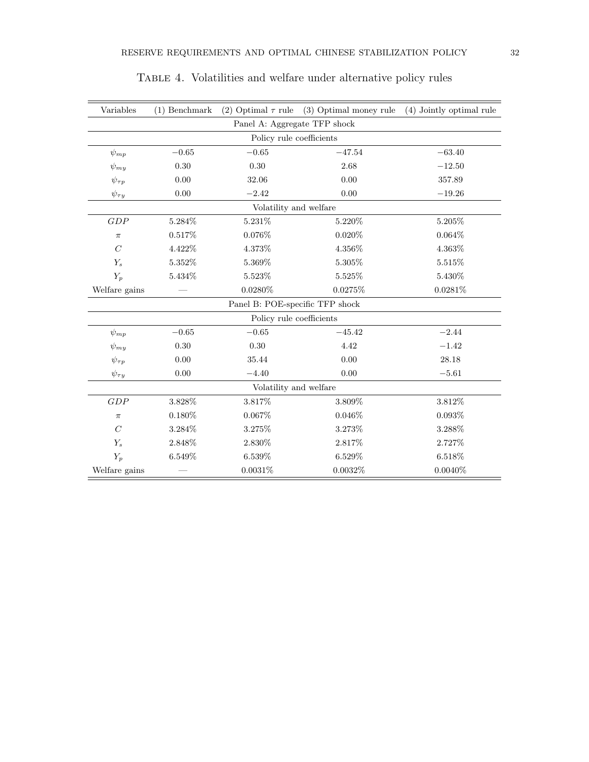| Variables                    | $(1)$ Benchmark |                                 | (2) Optimal $\tau$ rule (3) Optimal money rule | (4) Jointly optimal rule |  |  |  |  |
|------------------------------|-----------------|---------------------------------|------------------------------------------------|--------------------------|--|--|--|--|
| Panel A: Aggregate TFP shock |                 |                                 |                                                |                          |  |  |  |  |
| Policy rule coefficients     |                 |                                 |                                                |                          |  |  |  |  |
| $\psi_{mp}$                  | $-0.65$         | $\!-0.65\!$                     | $-47.54$                                       | $-63.40$                 |  |  |  |  |
| $\psi_{my}$                  | 0.30            | 0.30                            | 2.68                                           | $-12.50$                 |  |  |  |  |
| $\psi_{\tau p}$              | 0.00            | 32.06                           | 0.00                                           | 357.89                   |  |  |  |  |
| $\psi_{\tau y}$              | 0.00            | $-2.42$                         | 0.00                                           | $-19.26$                 |  |  |  |  |
| Volatility and welfare       |                 |                                 |                                                |                          |  |  |  |  |
| GDP                          | 5.284%          | 5.231\%                         | 5.220%                                         | $5.205\%$                |  |  |  |  |
| $\pi$                        | 0.517%          | 0.076%                          | 0.020%                                         | 0.064%                   |  |  |  |  |
| $\mathcal{C}$                | 4.422\%         | 4.373%                          | 4.356%                                         | 4.363%                   |  |  |  |  |
| $Y_s$                        | 5.352%          | 5.369%                          | $5.305\%$                                      | 5.515%                   |  |  |  |  |
| $Y_p$                        | $5.434\%$       | 5.523%                          | 5.525%                                         | $5.430\%$                |  |  |  |  |
| Welfare gains                |                 | 0.0280%                         | 0.0275%                                        | $0.0281\%$               |  |  |  |  |
|                              |                 | Panel B: POE-specific TFP shock |                                                |                          |  |  |  |  |
|                              |                 | Policy rule coefficients        |                                                |                          |  |  |  |  |
| $\psi_{mp}$                  | $-0.65$         | $-0.65$                         | $-45.42$                                       | $-2.44$                  |  |  |  |  |
| $\psi_{mu}$                  | 0.30            | 0.30                            | 4.42                                           | $-1.42$                  |  |  |  |  |
| $\psi_{\tau p}$              | 0.00            | 35.44                           | 0.00                                           | 28.18                    |  |  |  |  |
| $\psi_{\tau y}$              | 0.00            | $-4.40$                         | 0.00                                           | $-5.61$                  |  |  |  |  |
| Volatility and welfare       |                 |                                 |                                                |                          |  |  |  |  |
| GDP                          | 3.828%          | $3.817\%$                       | $3.809\%$                                      | $3.812\%$                |  |  |  |  |
| $\pi$                        | 0.180%          | 0.067%                          | 0.046%                                         | $0.093\%$                |  |  |  |  |
| $\mathcal{C}$                | 3.284%          | 3.275%                          | 3.273%                                         | 3.288%                   |  |  |  |  |
| $Y_s$                        | 2.848%          | $2.830\%$                       | 2.817%                                         | 2.727%                   |  |  |  |  |
| $Y_p$                        | 6.549%          | 6.539%                          | 6.529%                                         | 6.518%                   |  |  |  |  |
| Welfare gains                |                 | 0.0031%                         | 0.0032%                                        | $0.0040\%$               |  |  |  |  |

# Table 4. Volatilities and welfare under alternative policy rules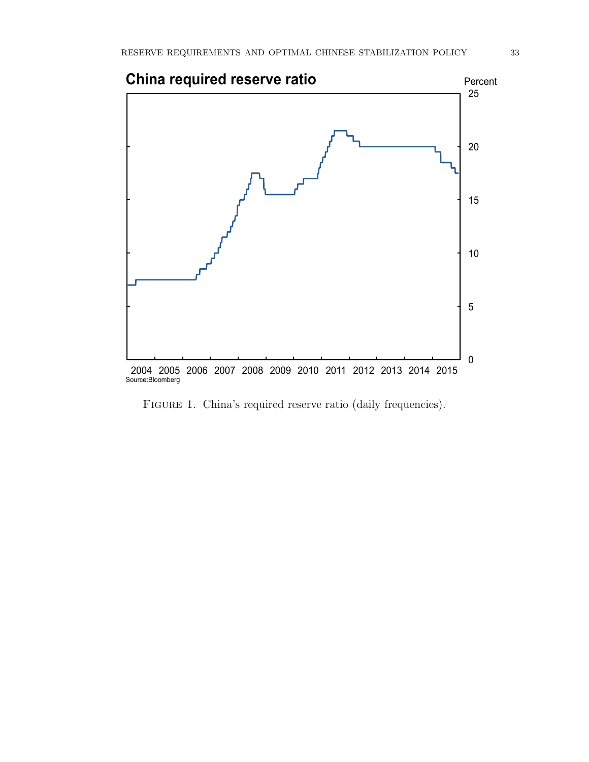

FIGURE 1. China's required reserve ratio (daily frequencies).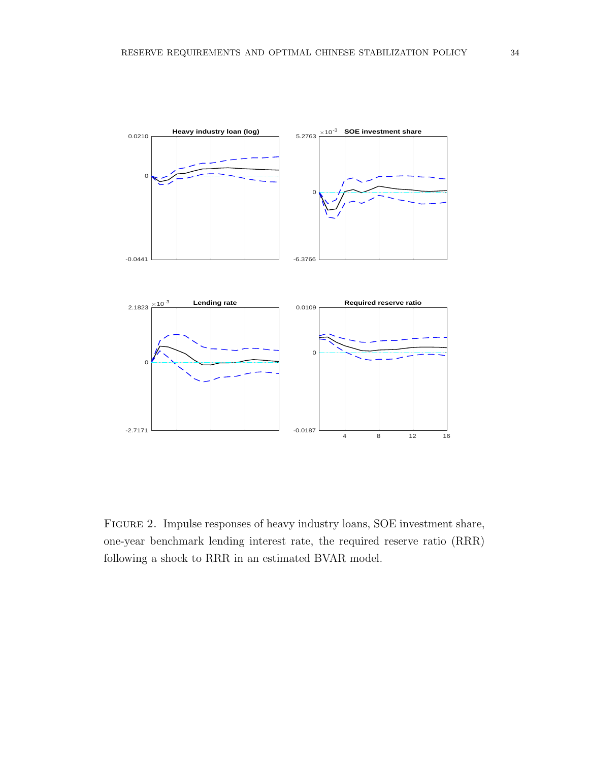

Figure 2. Impulse responses of heavy industry loans, SOE investment share, one-year benchmark lending interest rate, the required reserve ratio (RRR) following a shock to RRR in an estimated BVAR model.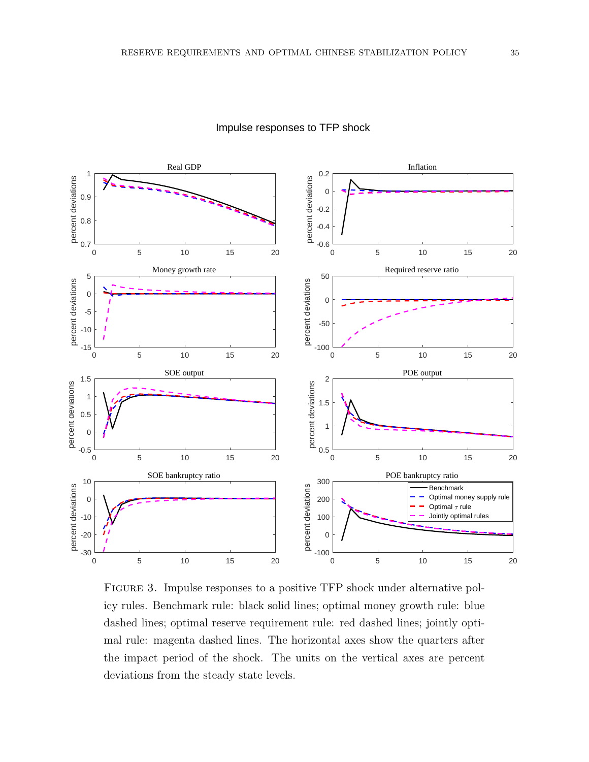

### Impulse responses to TFP shock

FIGURE 3. Impulse responses to a positive TFP shock under alternative policy rules. Benchmark rule: black solid lines; optimal money growth rule: blue dashed lines; optimal reserve requirement rule: red dashed lines; jointly optimal rule: magenta dashed lines. The horizontal axes show the quarters after the impact period of the shock. The units on the vertical axes are percent deviations from the steady state levels.